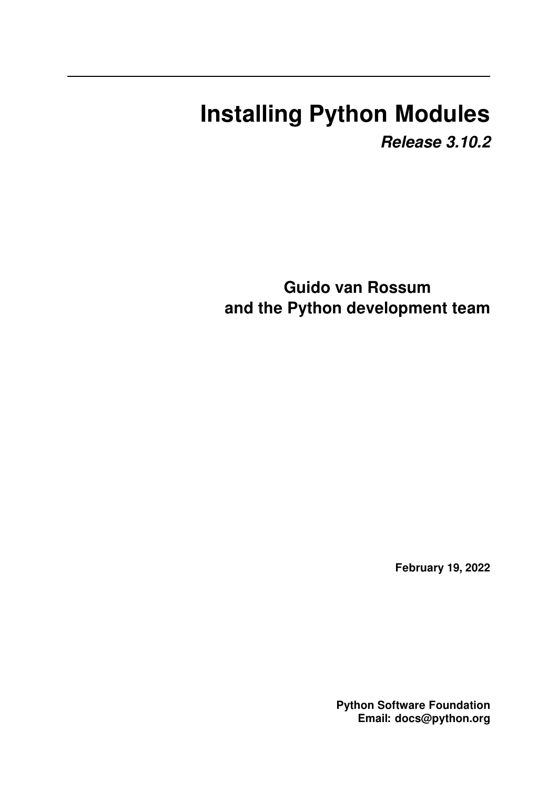# **Installing Python Modules**

*Release 3.10.2*

**Guido van Rossum and the Python development team**

**February 19, 2022**

**Python Software Foundation Email: docs@python.org**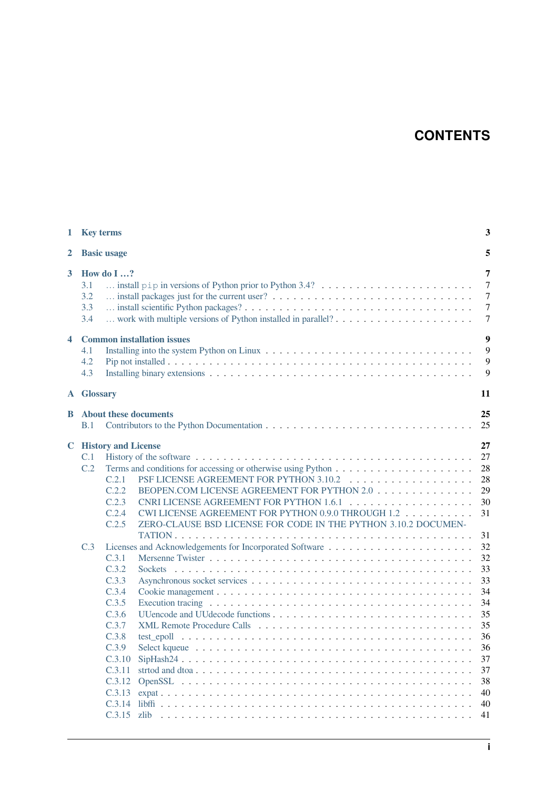# **CONTENTS**

| $\mathbf 1$                              | <b>Key terms</b>                                                                                                                                                                                                                                               |                                                                                              |  |  |  |  |
|------------------------------------------|----------------------------------------------------------------------------------------------------------------------------------------------------------------------------------------------------------------------------------------------------------------|----------------------------------------------------------------------------------------------|--|--|--|--|
| 2                                        | <b>Basic usage</b>                                                                                                                                                                                                                                             | 5                                                                                            |  |  |  |  |
| 3                                        | How do I ?<br>3.1<br>install pip in versions of Python prior to Python 3.4? $\dots \dots \dots \dots \dots \dots \dots \dots$<br>3.2<br>3.3<br>3.4                                                                                                             |                                                                                              |  |  |  |  |
| 4                                        | <b>Common installation issues</b><br>9<br>9<br>4.1<br>9<br>4.2<br>9<br>4.3                                                                                                                                                                                     |                                                                                              |  |  |  |  |
|                                          | <b>A</b> Glossary                                                                                                                                                                                                                                              | 11                                                                                           |  |  |  |  |
| <b>About these documents</b><br>B<br>B.1 |                                                                                                                                                                                                                                                                |                                                                                              |  |  |  |  |
|                                          | <b>C</b> History and License<br>C.1<br>C.2<br>C.2.1<br>C.2.2<br>BEOPEN.COM LICENSE AGREEMENT FOR PYTHON 2.0<br>C.2.3<br>C.2.4<br>CWI LICENSE AGREEMENT FOR PYTHON 0.9.0 THROUGH 1.2<br>C.2.5<br>ZERO-CLAUSE BSD LICENSE FOR CODE IN THE PYTHON 3.10.2 DOCUMEN- | 27<br>27<br>28<br>28<br>29<br>30<br>31<br>31                                                 |  |  |  |  |
|                                          | C.3<br>C.3.1<br>C.3.2<br>C.3.3<br>C.3.4<br>C.3.5<br>C.3.6<br>C.3.7<br>C.3.8<br>C.3.9<br>C.3.10<br>C.3.11<br>C.3.12<br>C.3.13<br>C.3.14<br>C.3.15<br>zlib                                                                                                       | 32<br>32<br>33<br>33<br>34<br>34<br>35<br>35<br>36<br>36<br>37<br>37<br>38<br>40<br>40<br>41 |  |  |  |  |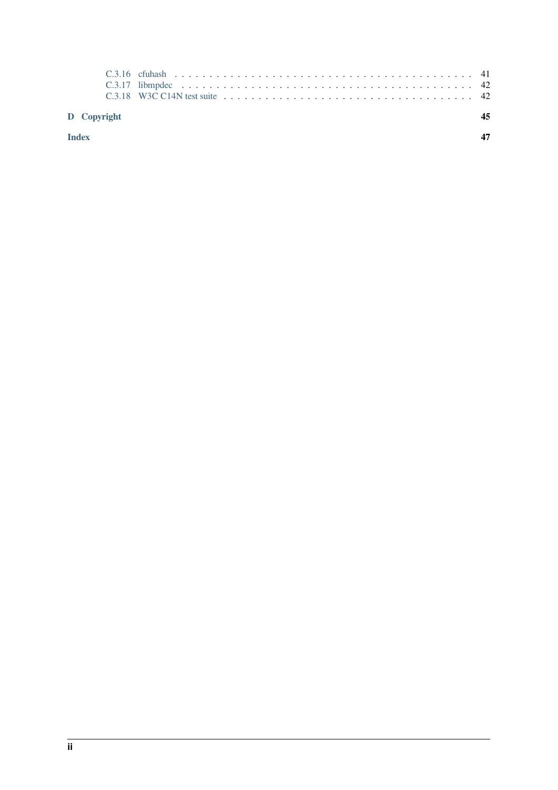| D Copyright  |  |
|--------------|--|
| <b>Index</b> |  |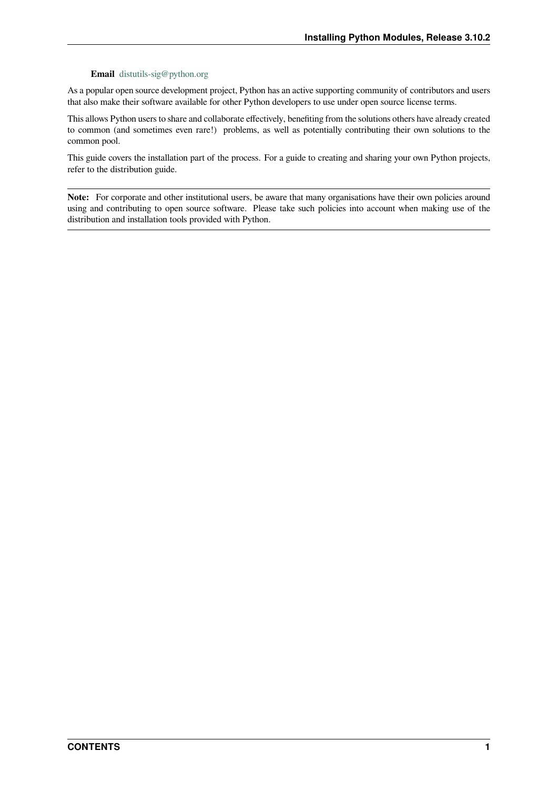#### **Email** distutils-sig@python.org

As a popular open source development project, Python has an active supporting community of contributors and users that also make their software available for other Python developers to use under open source license terms.

This allows P[ython users to share and co](mailto:distutils-sig@python.org)llaborate effectively, benefiting from the solutions others have already created to common (and sometimes even rare!) problems, as well as potentially contributing their own solutions to the common pool.

This guide covers the installation part of the process. For a guide to creating and sharing your own Python projects, refer to the distribution guide.

Note: For corporate and other institutional users, be aware that many organisations have their own policies around using and contributing to open source software. Please take such policies into account when making use of the distribution and installation tools provided with Python.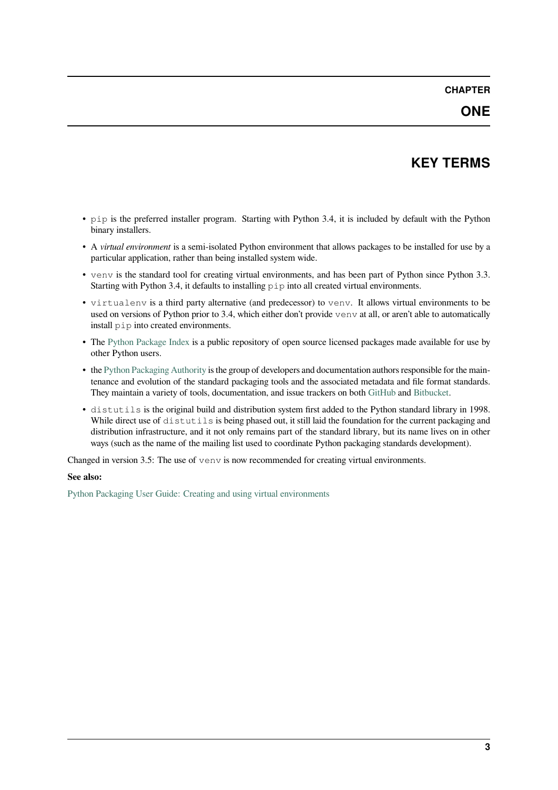### **KEY TERMS**

- <span id="page-6-0"></span>• pip is the preferred installer program. Starting with Python 3.4, it is included by default with the Python binary installers.
- A *virtual environment* is a semi-isolated Python environment that allows packages to be installed for use by a particular application, rather than being installed system wide.
- venv is the standard tool for creating virtual environments, and has been part of Python since Python 3.3. Starting with Python 3.4, it defaults to installing  $p$  is into all created virtual environments.
- virtualenv is a third party alternative (and predecessor) to venv. It allows virtual environments to be used on versions of Python prior to 3.4, which either don't provide venv at all, or aren't able to automatically install pip into created environments.
- The Python Package Index is a public repository of open source licensed packages made available for use by other Python users.
- the Python Packaging Authority is the group of developers and documentation authors responsible for the maintenance and evolution of the standard packaging tools and the associated metadata and file format standards. The[y maintain a variety of](https://pypi.org) tools, documentation, and issue trackers on both GitHub and Bitbucket.
- distutils is the original build and distribution system first added to the Python standard library in 1998. W[hile direct use of](https://www.pypa.io/) distutils is being phased out, it still laid the foundation for the current packaging and distribution infrastructure, and it not only remains part of the standard library, but its name lives on in other ways (such as the name of the mailing list used to coordinate Python packa[ging stan](https://github.com/pypa)dar[ds developm](https://bitbucket.org/pypa/)ent).

Changed in version 3.5: The use of venv is now recommended for creating virtual environments.

#### **See also:**

Python Packaging User Guide: Creating and using virtual environments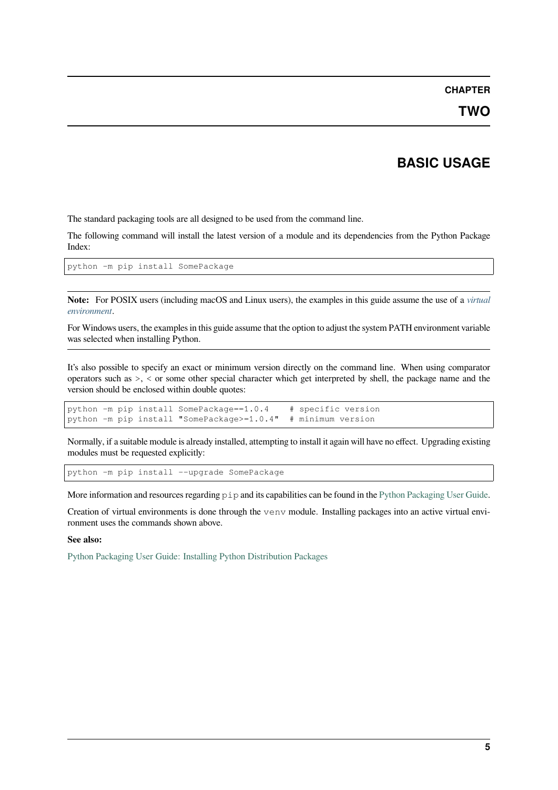### **BASIC USAGE**

<span id="page-8-0"></span>The standard packaging tools are all designed to be used from the command line.

The following command will install the latest version of a module and its dependencies from the Python Package Index:

python -m pip install SomePackage

**Note:** For POSIX users (including macOS and Linux users), the examples in this guide assume the use of a *virtual environment*.

For Windows users, the examples in this guide assume that the option to adjust the system PATH environment variable was selected when installing Python.

[It's also pos](#page-26-0)sible to specify an exact or minimum version directly on the command line. When using comparator operators such as >, < or some other special character which get interpreted by shell, the package name and the version should be enclosed within double quotes:

```
python -m pip install SomePackage==1.0.4 # specific version
python -m pip install "SomePackage>=1.0.4" # minimum version
```
Normally, if a suitable module is already installed, attempting to install it again will have no effect. Upgrading existing modules must be requested explicitly:

python -m pip install --upgrade SomePackage

More information and resources regarding  $p$  ip and its capabilities can be found in the Python Packaging User Guide.

Creation of virtual environments is done through the venv module. Installing packages into an active virtual environment uses the commands shown above.

#### **See also:**

Python Packaging User Guide: Installing Python Distribution Packages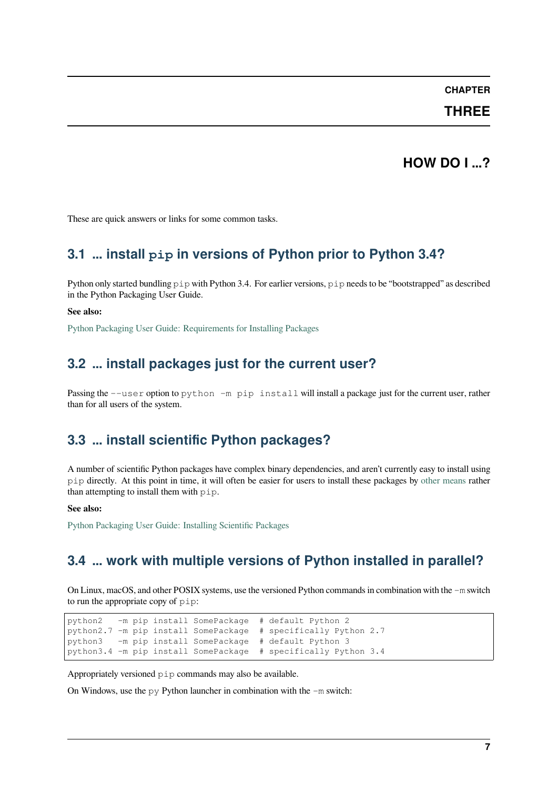### **HOW DO I …?**

<span id="page-10-0"></span>These are quick answers or links for some common tasks.

### **3.1 … install pip in versions of Python prior to Python 3.4?**

<span id="page-10-1"></span>Python only started bundling pip with Python 3.4. For earlier versions, pip needs to be "bootstrapped" as described in the Python Packaging User Guide.

#### **See also:**

Python Packaging User Guide: Requirements for Installing Packages

### **3.2 [… install packages just for the curre](https://packaging.python.org/installing/#requirements-for-installing-packages)nt user?**

<span id="page-10-2"></span>Passing the  $-$ user option to python  $-m$  pip install will install a package just for the current user, rather than for all users of the system.

### **3.3 … install scientific Python packages?**

<span id="page-10-3"></span>A number of scientific Python packages have complex binary dependencies, and aren't currently easy to install using pip directly. At this point in time, it will often be easier for users to install these packages by other means rather than attempting to install them with pip.

#### **See also:**

Python Packaging User Guide: Installing Scientific Packages

### **3.4 [… work with multiple versions o](https://packaging.python.org/science/)f Python installed in parallel?**

<span id="page-10-4"></span>On Linux, macOS, and other POSIX systems, use the versioned Python commands in combination with the -m switch to run the appropriate copy of pip:

```
python2 -m pip install SomePackage # default Python 2
python2.7 -m pip install SomePackage # specifically Python 2.7
python3 -m pip install SomePackage # default Python 3
python3.4 -m pip install SomePackage # specifically Python 3.4
```
Appropriately versioned pip commands may also be available.

On Windows, use the  $py$  Python launcher in combination with the  $-m$  switch: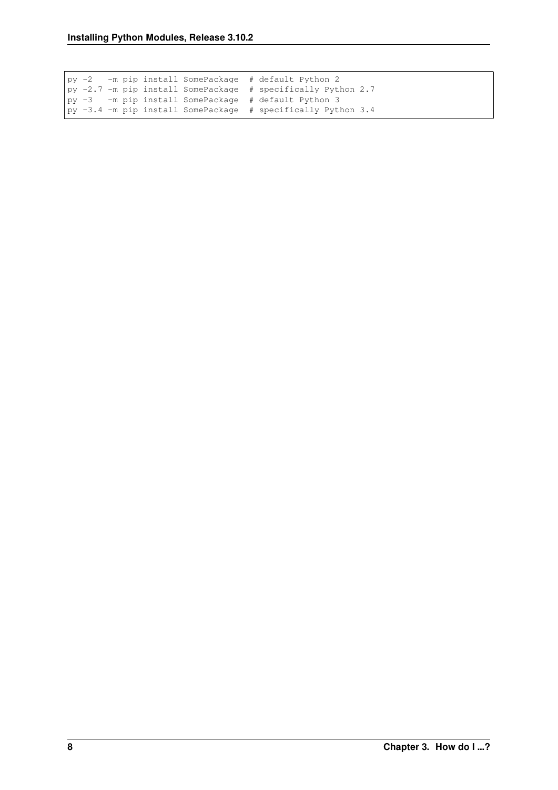py -2 -m pip install SomePackage # default Python 2 py -2.7 -m pip install SomePackage # specifically Python 2.7 py -3 -m pip install SomePackage # default Python 3 py -3.4 -m pip install SomePackage # specifically Python 3.4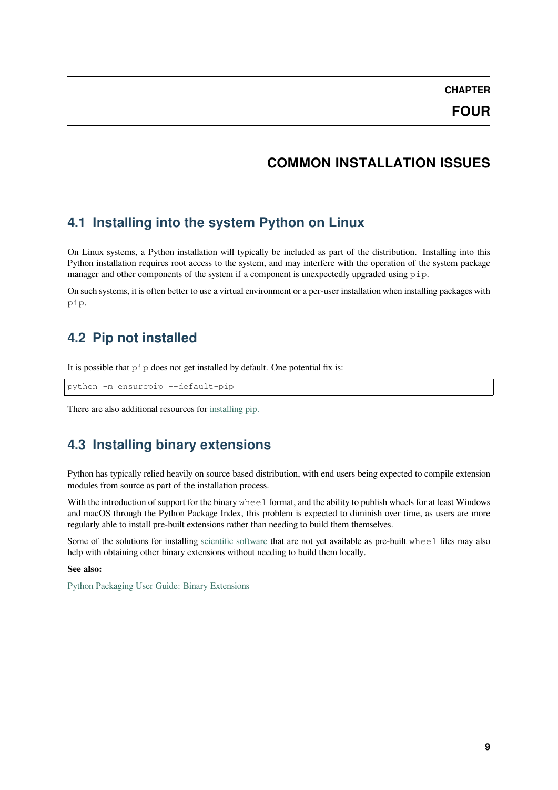### **COMMON INSTALLATION ISSUES**

### <span id="page-12-0"></span>**4.1 Installing into the system Python on Linux**

<span id="page-12-1"></span>On Linux systems, a Python installation will typically be included as part of the distribution. Installing into this Python installation requires root access to the system, and may interfere with the operation of the system package manager and other components of the system if a component is unexpectedly upgraded using pip.

On such systems, it is often better to use a virtual environment or a per-user installation when installing packages with pip.

## **4.2 Pip not installed**

<span id="page-12-2"></span>It is possible that pip does not get installed by default. One potential fix is:

python -m ensurepip --default-pip

There are also additional resources for installing pip.

## **4.3 Installing binarye[xtension](https://packaging.python.org/tutorials/installing-packages/#install-pip-setuptools-and-wheel)s**

<span id="page-12-3"></span>Python has typically relied heavily on source based distribution, with end users being expected to compile extension modules from source as part of the installation process.

With the introduction of support for the binary wheel format, and the ability to publish wheels for at least Windows and macOS through the Python Package Index, this problem is expected to diminish over time, as users are more regularly able to install pre-built extensions rather than needing to build them themselves.

Some of the solutions for installing scientific software that are not yet available as pre-built wheel files may also help with obtaining other binary extensions without needing to build them locally.

**See also:**

Python Packaging User Guide: Bina[ry Extensions](https://packaging.python.org/science/)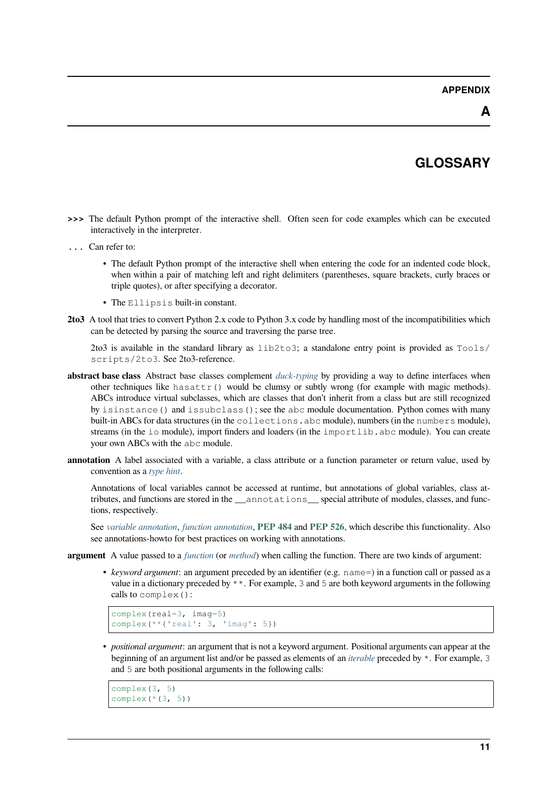**A**

### **GLOSSARY**

- <span id="page-14-4"></span><span id="page-14-0"></span>**>>>** The default Python prompt of the interactive shell. Often seen for code examples which can be executed interactively in the interpreter.
- **...** Can refer to:
	- The default Python prompt of the interactive shell when entering the code for an indented code block, when within a pair of matching left and right delimiters (parentheses, square brackets, curly braces or triple quotes), or after specifying a decorator.
	- The Ellipsis built-in constant.
- **2to3** A tool that tries to convert Python 2.x code to Python 3.x code by handling most of the incompatibilities which can be detected by parsing the source and traversing the parse tree.

2to3 is available in the standard library as lib2to3; a standalone entry point is provided as Tools/ scripts/2to3. See 2to3-reference.

- **abstract base class** Abstract base classes complement *duck-typing* by providing a way to define interfaces when other techniques like hasattr() would be clumsy or subtly wrong (for example with magic methods). ABCs introduce virtual subclasses, which are classes that don't inherit from a class but are still recognized by isinstance() and issubclass(); see the abc module documentation. Python comes with many built-in ABCs for data structures (in the collec[tions.abc](#page-17-0) module), numbers (in the numbers module), streams (in the io module), import finders and loaders (in the importlib.abc module). You can create your own ABCs with the abc module.
- <span id="page-14-1"></span>**annotation** A label associated with a variable, a class attribute or a function parameter or return value, used by convention as a *type hint*.

<span id="page-14-3"></span>Annotations of local variables cannot be accessed at runtime, but annotations of global variables, class attributes, and functions are stored in the \_\_annotations\_\_ special attribute of modules, classes, and functions, respectiv[ely.](#page-25-0)

See *variable annotation*, *function annotation*, **PEP 484** and **PEP 526**, which describe this functionality. Also see annotations-howto for best practices on working with annotations.

**argument** A value passed to a *function* (or *method*) when calling the function. There are two kinds of argument:

• *[keyword argument](#page-26-1)*: [an argument preced](#page-18-0)[ed by an id](https://www.python.org/dev/peps/pep-0484)enti[fier \(e.g.](https://www.python.org/dev/peps/pep-0526) name=) in a function call or passed as a value in a dictionary preceded by  $*$ . For example, 3 and 5 are both keyword arguments in the following calls to complex[\(\)](#page-18-1):

```
complex(real=3, imag=5)
complex(**{'real': 3, 'imag': 5})
```
• *positional argument*: an argument that is not a keyword argument. Positional arguments can appear at the beginning of an argument list and/or be passed as elements of an *iterable* preceded by \*. For example, 3 and 5 are both positional arguments in the following calls:

```
complex(3, 5)
complex(*(3, 5))
```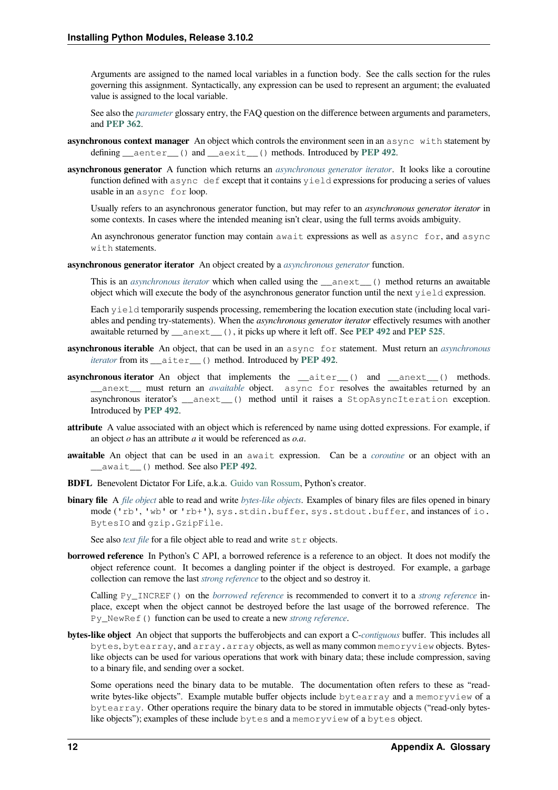<span id="page-15-7"></span>Arguments are assigned to the named local variables in a function body. See the calls section for the rules governing this assignment. Syntactically, any expression can be used to represent an argument; the evaluated value is assigned to the local variable.

See also the *parameter* glossary entry, the FAQ question on the difference between arguments and parameters, and **PEP 362**.

- **asynchronous context manager** An object which controls the environment seen in an async with statement by defining \_\_[aenter\\_](#page-22-0)\_() and \_\_aexit\_\_() methods. Introduced by **PEP 492**.
- **asynchro[nous gene](https://www.python.org/dev/peps/pep-0362)rator** A function which returns an *asynchronous generator iterator*. It looks like a coroutine function defined with async def except that it contains yield expressions for producing a series of values usable in an async for loop.

<span id="page-15-1"></span>Usually refers to an asynchronous generator function, but may refer to an *[asynchro](https://www.python.org/dev/peps/pep-0492)nous generator iterator* in some contexts. In cases where the intended meani[ng isn't clear, using the full terms](#page-15-0) avoids ambiguity.

An asynchronous generator function may contain await expressions as well as async for, and async with statements.

**asynchronous generator iterator** An object created by a *asynchronous generator* function.

This is an *asynchronous iterator* which when called using the \_\_anext\_\_() method returns an awaitable object which will execute the body of the asynchronous generator function until the next yield expression.

<span id="page-15-0"></span>Each yield temporarily suspends processing, reme[mbering the location exe](#page-15-1)cution state (including local variables and [pending try-statements](#page-15-2)). When the *asynchronous generator iterator* effectively resumes with another awaitable returned by \_\_anext\_\_(), it picks up where it left off. See **PEP 492** and **PEP 525**.

- **asynchronous iterable** An object, that can be used in an async for statement. Must return an *asynchronous iterator* from its \_\_aiter\_\_() method. Introduced by **PEP 492**.
- **asynchronous iterator** An object that implements the \_\_aiter\_() [and](https://www.python.org/dev/peps/pep-0492) \_\_anext\_() methods. \_\_anext\_\_ must return an *awaitable* object. async for resolves the awaitables returned by an asynchronous iterator's \_\_anext\_\_() method until [it raises](https://www.python.org/dev/peps/pep-0492) a StopAsyncIteration [exception.](#page-15-2) [Introdu](#page-15-2)ced by **PEP 492**.
- <span id="page-15-2"></span>**attribute** A value associated with an object which is referenced by name using dotted expressions. For example, if an object *o* has an attribute *a* it [would be r](#page-15-3)eferenced as *o.a*.
- **awaitable** An obje[ct that can](https://www.python.org/dev/peps/pep-0492) be used in an await expression. Can be a *coroutine* or an object with an \_\_await\_\_() method. See also **PEP 492**.
- **BDFL** Benevolent Dictator For Life, a.k.a. Guido van Rossum, Python's creator.
- <span id="page-15-3"></span>**binary file** A *file object* able to read and write *bytes-like objects*. Examples of bina[ry files ar](#page-16-0)e files opened in binary mode ('rb', 'wb' or 'rb+'), [sys.std](https://www.python.org/dev/peps/pep-0492)in.buffer, sys.stdout.buffer, and instances of io. BytesIO and gzip.GzipFile.

<span id="page-15-6"></span>Seealso *[text file](#page-17-1)* for a file object able to r[ead and write](#page-15-4)  $str$  objects.

**borrowed reference** In Python's C API, a borrowed reference is a reference to an object. It does not modify the object reference count. It becomes a dangling pointer if the object is destroyed. For example, a garbage collectio[n can re](#page-25-1)move the last *strong reference* to the object and so destroy it.

<span id="page-15-5"></span>Calling Py\_INCREF() on the *borrowed reference* is recommended to convert it to a *strong reference* inplace, except when the object cannot be destroyed before the last usage of the borrowed reference. The Py\_NewRef() function can [be used to creat](#page-25-2)e a new *strong reference*.

**bytes-like object** An object that supports the bufferobjects and can export a C-*contiguous* buffer. This includes all bytes, bytearray, and array. array objects, as well as many common memoryview [objects. By](#page-25-2)teslike objects can be used for various operations that w[ork with binary d](#page-25-2)ata; these include compression, saving to a binary file, and sending over a socket.

<span id="page-15-4"></span>Some operations need the binary data to be mutable. The documentat[ion often r](#page-16-1)efers to these as "readwrite bytes-like objects". Example mutable buffer objects include bytearray and a memoryview of a bytearray. Other operations require the binary data to be stored in immutable objects ("read-only byteslike objects"); examples of these include bytes and a memoryview of a bytes object.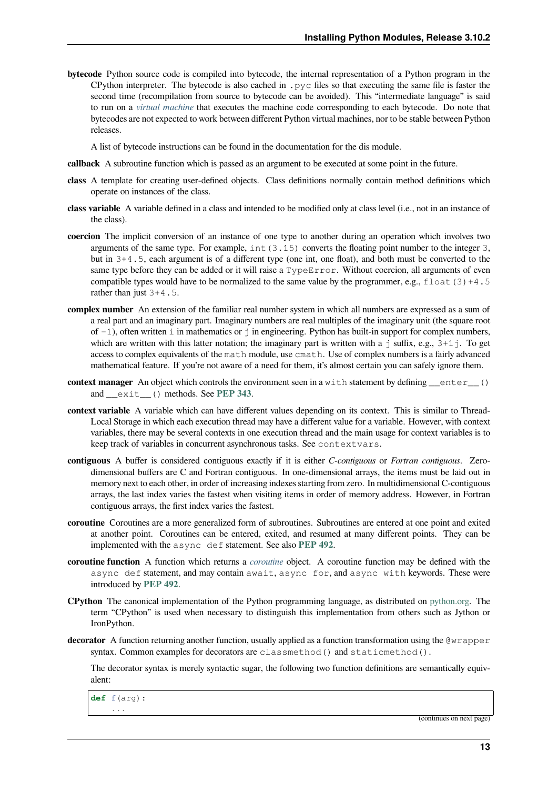<span id="page-16-3"></span>**bytecode** Python source code is compiled into bytecode, the internal representation of a Python program in the CPython interpreter. The bytecode is also cached in  $.pyc$  files so that executing the same file is faster the second time (recompilation from source to bytecode can be avoided). This "intermediate language" is said to run on a *virtual machine* that executes the machine code corresponding to each bytecode. Do note that bytecodes are not expected to work between different Python virtual machines, nor to be stable between Python releases.

<span id="page-16-2"></span>A list of byt[ecode instruction](#page-26-2)s can be found in the documentation for the dis module.

- **callback** A subroutine function which is passed as an argument to be executed at some point in the future.
- **class** A template for creating user-defined objects. Class definitions normally contain method definitions which operate on instances of the class.
- **class variable** A variable defined in a class and intended to be modified only at class level (i.e., not in an instance of the class).
- **coercion** The implicit conversion of an instance of one type to another during an operation which involves two arguments of the same type. For example, int (3.15) converts the floating point number to the integer 3, but in 3+4.5, each argument is of a different type (one int, one float), and both must be converted to the same type before they can be added or it will raise a TypeError. Without coercion, all arguments of even compatible types would have to be normalized to the same value by the programmer, e.g.,  $f$ loat (3)+4.5 rather than just  $3+4$ . 5.
- **complex number** An extension of the familiar real number system in which all numbers are expressed as a sum of a real part and an imaginary part. Imaginary numbers are real multiples of the imaginary unit (the square root of  $-1$ ), often written i in mathematics or  $\dot{\tau}$  in engineering. Python has built-in support for complex numbers, which are written with this latter notation; the imaginary part is written with a j suffix, e.g.,  $3+1$ j. To get access to complex equivalents of the math module, use cmath. Use of complex numbers is a fairly advanced mathematical feature. If you're not aware of a need for them, it's almost certain you can safely ignore them.
- **context manager** An object which controls the environment seen in a with statement by defining \_\_enter\_\_() and \_\_exit\_\_() methods. See **PEP 343**.
- **context variable** A variable which can have different values depending on its context. This is similar to Thread-Local Storage in which each execution thread may have a different value for a variable. However, with context variables, there may be several contexts in one execution thread and the main usage for context variables is to keep track of variables in concurr[ent asynch](https://www.python.org/dev/peps/pep-0343)ronous tasks. See contextvars.
- **contiguous** A buffer is considered contiguous exactly if it is either *C-contiguous* or *Fortran contiguous*. Zerodimensional buffers are C and Fortran contiguous. In one-dimensional arrays, the items must be laid out in memory next to each other, in order of increasing indexes starting from zero. In multidimensional C-contiguous arrays, the last index varies the fastest when visiting items in order of memory address. However, in Fortran contiguous arrays, the first index varies the fastest.
- <span id="page-16-1"></span>**coroutine** Coroutines are a more generalized form of subroutines. Subroutines are entered at one point and exited at another point. Coroutines can be entered, exited, and resumed at many different points. They can be implemented with the async def statement. See also **PEP 492**.
- <span id="page-16-0"></span>**coroutine function** A function which returns a *coroutine* object. A coroutine function may be defined with the async def statement, and may contain await, async for, and async with keywords. These were introduced by **PEP 492**.
- **CPython** The canonical implementation of the Python progr[amming la](https://www.python.org/dev/peps/pep-0492)nguage, as distributed on python.org. The term "CPython" is used when necessaryt[o distingu](#page-16-0)ish this implementation from others such as Jython or IronPython.
- **decorator** A functi[on returnin](https://www.python.org/dev/peps/pep-0492)g another function, usually applied as a function transformation using the [@wrap](https://www.python.org)per syntax. Common examples for decorators are classmethod() and staticmethod().

The decorator syntax is merely syntactic sugar, the following two function definitions are semantically equivalent:

**def** f(arg): ...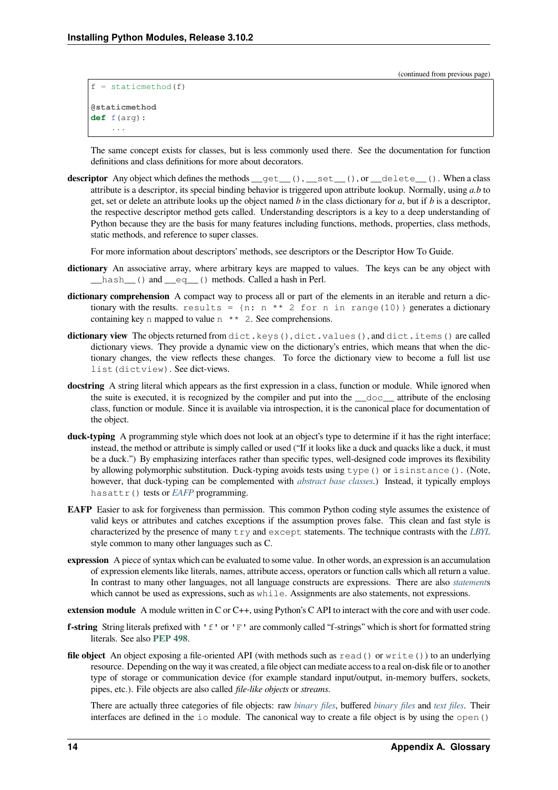```
f =staticmethod(f)
@staticmethod
def f(arg):
    ...
```
The same concept exists for classes, but is less commonly used there. See the documentation for function definitions and class definitions for more about decorators.

descriptor Any object which defines the methods \_get\_(), \_set\_(), or \_delete\_(). When a class attribute is a descriptor, its special binding behavior is triggered upon attribute lookup. Normally, using *a.b* to get, set or delete an attribute looks up the object named *b* in the class dictionary for *a*, but if *b* is a descriptor, the respective descriptor method gets called. Understanding descriptors is a key to a deep understanding of Python because they are the basis for many features including functions, methods, properties, class methods, static methods, and reference to super classes.

For more information about descriptors' methods, see descriptors or the Descriptor How To Guide.

- **dictionary** An associative array, where arbitrary keys are mapped to values. The keys can be any object with \_\_hash\_\_() and \_\_eq\_\_() methods. Called a hash in Perl.
- **dictionary comprehension** A compact way to process all or part of the elements in an iterable and return a dictionary with the results. results =  $\{n: n * * 2 \text{ for } n \text{ in } range(10)\}$  generates a dictionary containing key n mapped to value  $n \times 2$ . See comprehensions.
- dictionary view The objects returned from dict.keys(), dict.values(), and dict.items() are called dictionary views. They provide a dynamic view on the dictionary's entries, which means that when the dictionary changes, the view reflects these changes. To force the dictionary view to become a full list use list(dictview). See dict-views.
- **docstring** A string literal which appears as the first expression in a class, function or module. While ignored when the suite is executed, it is recognized by the compiler and put into the  $\_\text{doc}\_\text{attribute}$  of the enclosing class, function or module. Since it is available via introspection, it is the canonical place for documentation of the object.
- **duck-typing** A programming style which does not look at an object's type to determine if it has the right interface; instead, the method or attribute is simply called or used ("If it looks like a duck and quacks like a duck, it must be a duck.") By emphasizing interfaces rather than specific types, well-designed code improves its flexibility by allowing polymorphic substitution. Duck-typing avoids tests using type() or isinstance(). (Note, however, that duck-typing can be complemented with *abstract base classes*.) Instead, it typically employs hasattr() tests or *EAFP* programming.
- <span id="page-17-0"></span>**EAFP** Easier to ask for forgiveness than permission. This common Python coding style assumes the existence of valid keys or attributes and catches exceptions if the assumption proves false. This clean and fast style is characterized by the presence of many try and except [statements. The tec](#page-14-1)hnique contrasts with the *LBYL* style common to man[y other](#page-17-2) languages such as C.
- <span id="page-17-2"></span>**expression** A piece of syntax which can be evaluated to some value. In other words, an expression is an accumulation of expression elements like literals, names, attribute access, operators or function calls which all return a value. In contrast to many other languages, not all language constructs are expressions. There are also *state[ment](#page-21-0)*s which cannot be used as expressions, such as while. Assignments are also statements, not expressions.

<span id="page-17-3"></span>**extension module** A module written in C or C++, using Python's C API to interact with the core and with user code.

- **f-string** String literals prefixed with 'f' or 'F' are commonly called "f-strings" which is short for form[atted string](#page-25-3) literals. See also **PEP 498**.
- **file object** An object exposing a file-oriented API (with methods such as read() or write()) to an underlying resource. Depending on the way it was created, a file object can mediate access to a real on-disk file or to another type of storage or communication device (for example standard input/output, in-memory buffers, sockets, pipes, etc.). File [objects ar](https://www.python.org/dev/peps/pep-0498)e also called *file-like objects* or *streams*.

<span id="page-17-1"></span>There are actually three categories of file objects: raw *binary files*, buffered *binary files* and *text files*. Their interfaces are defined in the io module. The canonical way to create a file object is by using the open ()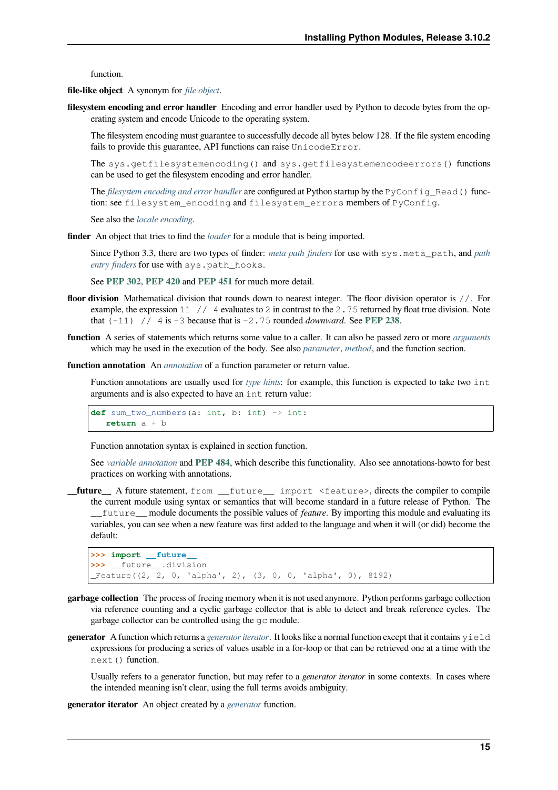function.

#### <span id="page-18-7"></span>**file-like object** A synonym for *file object*.

**filesystem encoding and error handler** Encoding and error handler used by Python to decode bytes from the operating system and encode Unicode to the operating system.

The filesystem encoding [must guara](#page-17-1)ntee to successfully decode all bytes below 128. If the file system encoding fails to provide this guarantee, API functions can raise UnicodeError.

<span id="page-18-2"></span>The sys.getfilesystemencoding() and sys.getfilesystemencodeerrors() functions can be used to get the filesystem encoding and error handler.

The *filesystem encoding and error handler* are configured at Python startup by the PyConfig\_Read() function: see filesystem\_encoding and filesystem\_errors members of PyConfig.

See also the *locale encoding*.

**finder** An [object that tries to find the](#page-18-2) *loader* for a module that is being imported.

Since Python 3.3, there are two types of finder: *meta path finders* for use with sys.meta\_path, and *path entry finders* [for use with](#page-21-1) sys.path\_hooks.

<span id="page-18-4"></span>See **PEP 302**, **PEP 420** and **P[EP 451](#page-21-2)** for much more detail.

- **floor division** Mathematical division that rounds dow[n to nearest integ](#page-21-3)er. The floor division operator is //. [For](#page-23-0) [example, the](#page-23-0) expression 11 // 4 evaluates to 2 in contrast to the 2.75 returned by float true division. Note that  $(-11)$  [// 4](https://www.python.org/dev/peps/pep-0420) is  $-3$  be[cause that](https://www.python.org/dev/peps/pep-0451) is  $-2.75$  rounded *downward*. See PEP 238.
- **function** A series of statements which returns some value to a caller. It can also be passed zero or more *arguments* which may be used in the execution of the body. See also *parameter*, *method*, and the function section.
- **function annotation** An *annotation* of a function parameter or return value.

<span id="page-18-1"></span>Function annotations are usually used for *type hints*: for example, this function is expected to tak[e two](#page-14-2) int arguments and is also expected to have an int return val[ue:](#page-22-0)

<span id="page-18-0"></span>**def** sum\_two\_nu[mbers\(a:](#page-14-3) int, b: int) -> int: **return** a + b

Function annotation syntax is explained in section function.

See *variable annotation* and **PEP 484**, which describe this functionality. Also see annotations-howto for best practices on working with annotations.

**\_\_future\_\_** A future statement, from \_\_future\_\_ import <feature>, directs the compiler to compile the current module using syntax or semantics that will become standard in a future release of Python. The \_\_[future\\_\\_](#page-26-1) module doc[uments the](https://www.python.org/dev/peps/pep-0484) possible values of *feature*. By importing this module and evaluating its variables, you can see when a new feature was first added to the language and when it will (or did) become the default:

```
>>> import future
>>> __future__.division
_Feature((2, 2, 0, 'alpha', 2), (3, 0, 0, 'alpha', 0), 8192)
```
- **garbage collection** The process of freeing memory when it is not used anymore. Python performs garbage collection via reference counting and a cyclic garbage collector that is able to detect and break reference cycles. The garbage collector can be controlled using the gc module.
- **generator** A function which returns a *generator iterator*. It looks like a normal function except that it contains yield expressions for producing a series of values usable in a for-loop or that can be retrieved one at a time with the next() function.

<span id="page-18-6"></span><span id="page-18-5"></span>Usually refers to a generator function, but may refer to a *generator iterator* in some contexts. In cases where the intended meaning isn't clear[, using the full ter](#page-18-3)ms avoids ambiguity.

<span id="page-18-3"></span>**generator iterator** An object created by a *generator* function.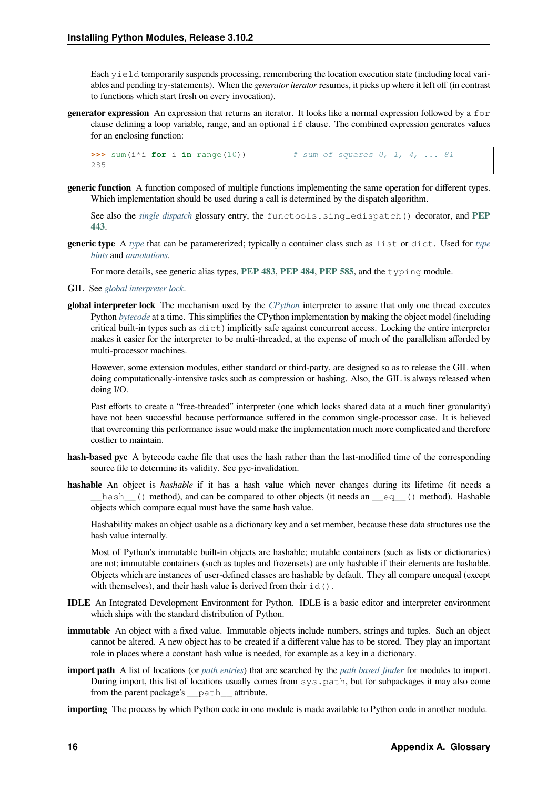<span id="page-19-4"></span>Each yield temporarily suspends processing, remembering the location execution state (including local variables and pending try-statements). When the *generator iterator* resumes, it picks up where it left off (in contrast to functions which start fresh on every invocation).

**generator expression** An expression that returns an iterator. It looks like a normal expression followed by a for clause defining a loop variable, range, and an optional if clause. The combined expression generates values for an enclosing function:

**>>>** sum(i\*i **for** i **in** range(10)) *# sum of squares 0, 1, 4, ... 81* 285

**generic function** A function composed of multiple functions implementing the same operation for different types. Which implementation should be used during a call is determined by the dispatch algorithm.

<span id="page-19-3"></span>See also the *single dispatch* glossary entry, the functools.singledispatch() decorator, and **PEP 443**.

**generic type** A *type* that can be parameterized; typically a container class such as list or dict. Used for *type hints* and *an[notations](#page-25-4)*.

[For](https://www.python.org/dev/peps/pep-0443) more details, see generic alias types, **PEP 483**, **PEP 484**, **PEP 585**, and the typing module.

- **GIL** See *global [inter](#page-25-5)preter lock*.
- **globa[l inte](#page-25-0)rpr[eter lock](#page-14-3)** The mechanism used by the *CPython* interpreter to assure that only one thread executes Python *bytecode* at a time. This simplifie[s the CPyt](https://www.python.org/dev/peps/pep-0483)[hon implem](https://www.python.org/dev/peps/pep-0484)[entation b](https://www.python.org/dev/peps/pep-0585)y making the object model (including critical built-in types such as dict) implicitly safe against concurrent access. Locking the entire interpreter ma[kes it easier for the int](#page-19-0)erpreter to be multi-threaded, at the expense of much of the parallelism afforded by multi-processor machines.

<span id="page-19-0"></span>Howev[er, some e](#page-16-2)xtension modules, either standard or third-party, are designed so as to release the GIL when doing computationally-intensive tasks such as compression or hashing. Also, the GIL is always released when doing I/O.

Past efforts to create a "free-threaded" interpreter (one which locks shared data at a much finer granularity) have not been successful because performance suffered in the common single-processor case. It is believed that overcoming this performance issue would make the implementation much more complicated and therefore costlier to maintain.

- **hash-based pyc** A bytecode cache file that uses the hash rather than the last-modified time of the corresponding source file to determine its validity. See pyc-invalidation.
- **hashable** An object is *hashable* if it has a hash value which never changes during its lifetime (it needs a  $_{\text{hash}}$  () method), and can be compared to other objects (it needs an  $_{\text{seq}}$  () method). Hashable objects which compare equal must have the same hash value.

Hashability makes an object usable as a dictionary key and a set member, because these data structures use the hash value internally.

Most of Python's immutable built-in objects are hashable; mutable containers (such as lists or dictionaries) are not; immutable containers (such as tuples and frozensets) are only hashable if their elements are hashable. Objects which are instances of user-defined classes are hashable by default. They all compare unequal (except with themselves), and their hash value is derived from their  $id()$ .

- **IDLE** An Integrated Development Environment for Python. IDLE is a basic editor and interpreter environment which ships with the standard distribution of Python.
- **immutable** An object with a fixed value. Immutable objects include numbers, strings and tuples. Such an object cannot be altered. A new object has to be created if a different value has to be stored. They play an important role in places where a constant hash value is needed, for example as a key in a dictionary.
- <span id="page-19-1"></span>**import path** A list of locations (or *path entries*) that are searched by the *path based finder* for modules to import. During import, this list of locations usually comes from sys.path, but for subpackages it may also come from the parent package's \_\_path\_\_ attribute.
- <span id="page-19-2"></span>**importing** The process by which P[ython code i](#page-23-1)n one module is made ava[ilable to Python co](#page-23-2)de in another module.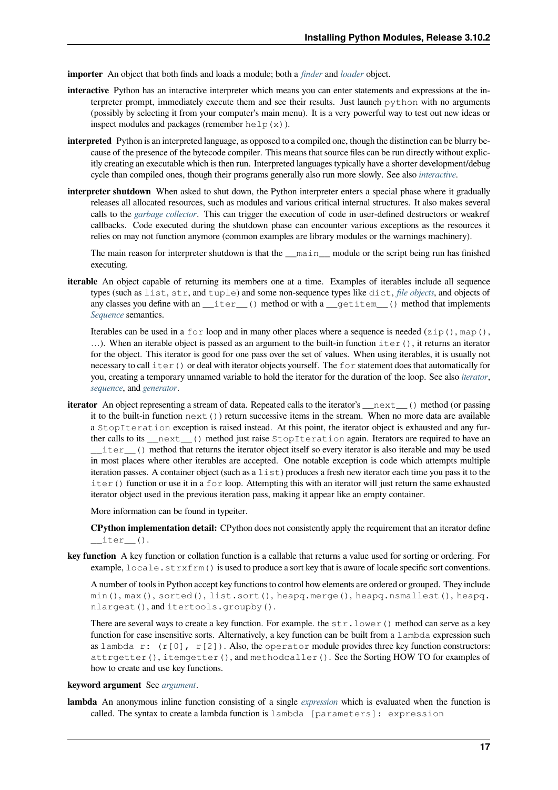**importer** An object that both finds and loads a module; both a *finder* and *loader* object.

- <span id="page-20-3"></span>**interactive** Python has an interactive interpreter which means you can enter statements and expressions at the interpreter prompt, immediately execute them and see their results. Just launch python with no arguments (possibly by selecting it from your computer's main men[u\). It i](#page-18-4)s av[ery pow](#page-21-2)erful way to test out new ideas or inspect modules and packages (remember help $(x)$ ).
- <span id="page-20-0"></span>**interpreted** Python is an interpreted language, as opposed to a compiled one, though the distinction can be blurry because of the presence of the bytecode compiler. This means that source files can be run directly without explicitly creating an executable which is then run. Interpreted languages typically have a shorter development/debug cycle than compiled ones, though their programs generally also run more slowly. See also *interactive*.
- **interpreter shutdown** When asked to shut down, the Python interpreter enters a special phase where it gradually releases all allocated resources, such as modules and various critical internal structures. It also makes several calls to the *garbage collector*. This can trigger the execution of code in user-defined destructors or weakref callbacks. Code executed during the shutdown phase can encounter various exceptions [as the res](#page-20-0)ources it relies on may not function anymore (common examples are library modules or the warnings machinery).

Themain r[eason for interpret](#page-18-5)er shutdown is that the \_\_main\_\_ module or the script being run has finished executing.

**iterable** An object capable of returning its members one at a time. Examples of iterables include all sequence types (such as list, str, and tuple) and some non-sequence types like dict, *file objects*, and objects of any classes you define with an \_\_iter\_\_() method or with a \_\_getitem\_\_() method that implements *Sequence* semantics.

<span id="page-20-2"></span>Iterables can be used in a for loop and in many other places where a sequence is needed ( $z$ ip(), map(), ...). When an iterable object is passed as an argument to the built-in function  $\text{iter}($ )[, it ret](#page-17-1)urns an iterator for the object. This iterator is good for one pass over the set of values. When using iterables, it is usually not [necessary](#page-24-0) to call iter() or deal with iterator objects yourself. The for statement does that automatically for you, creating a temporary unnamed variable to hold the iterator for the duration of the loop. See also *iterator*, *sequence*, and *generator*.

<span id="page-20-1"></span>**iterator** An object representing a stream of data. Repeated calls to the iterator's \_next\_() method (or passing it to the built-in function  $next()$  return successive items in the stream. When no more data are available a StopIteration exception is raised instead. At this point, the iterator object is exhausted and [any fur](#page-20-1)[ther calls](#page-24-0) to its [\\_\\_next](#page-18-6)\_\_() method just raise StopIteration again. Iterators are required to have an \_\_iter\_\_() method that returns the iterator object itself so every iterator is also iterable and may be used in most places where other iterables are accepted. One notable exception is code which attempts multiple iteration passes. A container object (such as a list) produces a fresh new iterator each time you pass it to the iter() function or use it in a for loop. Attempting this with an iterator will just return the same exhausted iterator object used in the previous iteration pass, making it appear like an empty container.

More information can be found in typeiter.

**CPython implementation detail:** CPython does not consistently apply the requirement that an iterator define iter ().

**key function** A key function or collation function is a callable that returns a value used for sorting or ordering. For example,  $locale.strxfrm()$  is used to produce a sort key that is aware of locale specific sort conventions.

A number of tools in Python accept key functions to control how elements are ordered or grouped. They include min(), max(), sorted(), list.sort(), heapq.merge(), heapq.nsmallest(), heapq. nlargest(), and itertools.groupby().

There are several ways to create a key function. For example, the  $str. lower$  () method can serve as a key function for case insensitive sorts. Alternatively, a key function can be built from a lambda expression such as lambda r:  $(r[0], r[2])$ . Also, the operator module provides three key function constructors: attrgetter(), itemgetter(), and methodcaller(). See the Sorting HOW TO for examples of how to create and use key functions.

#### **keyword argument** See *argument*.

**lambda** An anonymous inline function consisting of a single *expression* which is evaluated when the function is called. The syntax to create a lambda function is lambda [parameters]: expression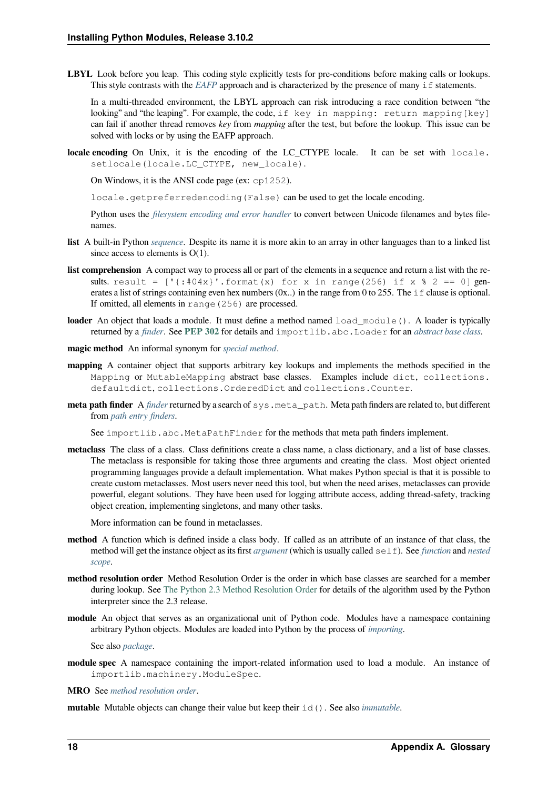<span id="page-21-5"></span>**LBYL** Look before you leap. This coding style explicitly tests for pre-conditions before making calls or lookups. This style contrasts with the *EAFP* approach and is characterized by the presence of many if statements.

<span id="page-21-0"></span>In a multi-threaded environment, the LBYL approach can risk introducing a race condition between "the looking" and "the leaping". For example, the code, if key in mapping: return mapping [key] can fail if another thread removes *key* from *mapping* after the test, but before the lookup. This issue can be solved with locks or by usin[g the E](#page-17-2)AFP approach.

**locale encoding** On Unix, it is the encoding of the LC CTYPE locale. It can be set with locale. setlocale(locale.LC\_CTYPE, new\_locale).

On Windows, it is the ANSI code page (ex: cp1252).

<span id="page-21-1"></span>locale.getpreferredencoding(False) can be used to get the locale encoding.

Python uses the *filesystem encoding and error handler* to convert between Unicode filenames and bytes filenames.

- **list** A built-in Python *sequence*. Despite its name it is more akin to an array in other languages than to a linked list sinceaccess to e[lements is O\(1\).](#page-18-2)
- **list comprehension** A compact way to process all or part of the elements in a sequence and return a list with the results. result =  $['{\cdot}; #04x]'$ . format(x) for x in range(256) if x  $\frac{1}{6}$  2 == 0] generates a list of st[rings cont](#page-24-0)aining even hex numbers  $(0x.)$  in the range from 0 to 255. The  $\pm$  f clause is optional. If omitted, all elements in range(256) are processed.
- **loader** An object that loads a module. It must define a method named load\_module(). A loader is typically returned by a *finder*. See **PEP 302** for details and importlib.abc.Loader for an *abstract base class*.

**magic method** An informal synonym for *special method*.

- <span id="page-21-2"></span>**mapping** A container object that supports arbitrary key lookups and implements the methods specified in the Mapping or [Mut](#page-18-4)abl[eMappin](https://www.python.org/dev/peps/pep-0302)g abstract base classes. Examples include dict, [collections](#page-14-1). defaultdict, collections[.OrderedDic](#page-25-6)t and collections.Counter.
- **meta path finder** A *finder* returned by a search of sys.meta\_path. Meta path finders are related to, but different from *path entry finders*.

<span id="page-21-3"></span>See importlib.abc.MetaPathFinder for the methods that meta path finders implement.

**metaclass** The class [of a c](#page-18-4)lass. Class definitions create a class name, a class dictionary, and a list of base classes. The [metaclass is respo](#page-23-0)nsible for taking those three arguments and creating the class. Most object oriented programming languages provide a default implementation. What makes Python special is that it is possible to create custom metaclasses. Most users never need this tool, but when the need arises, metaclasses can provide powerful, elegant solutions. They have been used for logging attribute access, adding thread-safety, tracking object creation, implementing singletons, and many other tasks.

More information can be found in metaclasses.

- **method** A function which is defined inside a class body. If called as an attribute of an instance of that class, the method will get the instance object as its first *argument* (which is usually called self). See *function* and *nested scope*.
- **method resolution order** Method Resolution Order is the order in which base classes are searched for a member during lookup. See The Python 2.3 Method [Resolutio](#page-14-2)n Order for details of the algorithm [used by t](#page-18-1)he [Python](#page-22-1) [interp](#page-22-1)reter since the 2.3 release.
- **module** An object that serves as an organizational unit of Python code. Modules have a namespace containing arbitrary Python ob[jects. Modules are loaded into Python by t](https://www.python.org/download/releases/2.3/mro/)he process of *importing*.

<span id="page-21-4"></span>See also *package*.

**module spec** A namespace containing the import-related information used to load a module. An instance of importlib.machinery.ModuleSpec.

**MRO** See *me[thod reso](#page-22-2)lution order*.

**mutable** Mutable objects can change their value but keep their id(). See also *immutable*.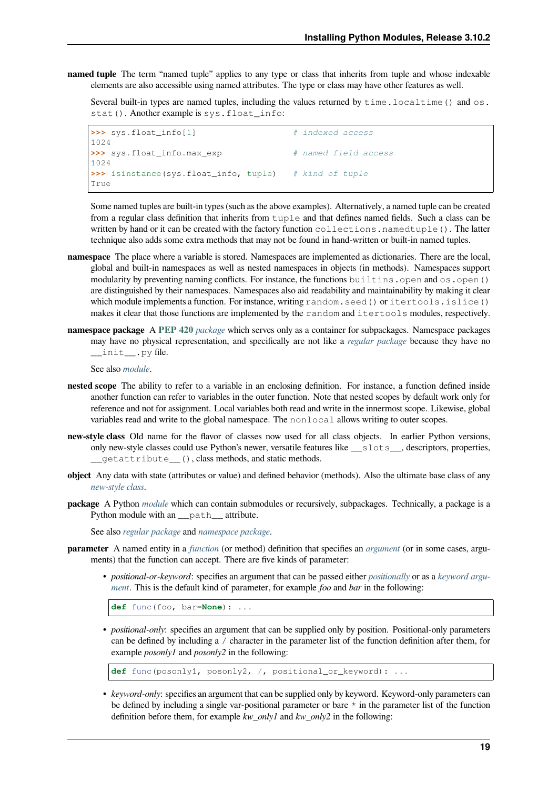<span id="page-22-5"></span>**named tuple** The term "named tuple" applies to any type or class that inherits from tuple and whose indexable elements are also accessible using named attributes. The type or class may have other features as well.

Several built-in types are named tuples, including the values returned by time.localtime() and os. stat(). Another example is sys.float\_info:

| # indexed access                                                                      |
|---------------------------------------------------------------------------------------|
|                                                                                       |
| # named field access                                                                  |
|                                                                                       |
| $\rightarrow\rightarrow\rightarrow$ isinstance(sys.float_info, tuple) # kind of tuple |
|                                                                                       |
|                                                                                       |

Some named tuples are built-in types (such as the above examples). Alternatively, a named tuple can be created from a regular class definition that inherits from tuple and that defines named fields. Such a class can be written by hand or it can be created with the factory function collections.namedtuple(). The latter technique also adds some extra methods that may not be found in hand-written or built-in named tuples.

- **namespace** The place where a variable is stored. Namespaces are implemented as dictionaries. There are the local, global and built-in namespaces as well as nested namespaces in objects (in methods). Namespaces support modularity by preventing naming conflicts. For instance, the functions builtins.open and os.open() are distinguished by their namespaces. Namespaces also aid readability and maintainability by making it clear which module implements a function. For instance, writing random.seed() or itertools.islice() makes it clear that those functions are implemented by the random and itertools modules, respectively.
- **namespace package** A **PEP 420** *package* which serves only as a container for subpackages. Namespace packages may have no physical representation, and specifically are not like a *regular package* because they have no \_\_init\_\_.py file.

<span id="page-22-4"></span>See also *module*.

- **nested scope** The abilit[y to refer](https://www.python.org/dev/peps/pep-0420) [to a var](#page-22-2)iable in an enclosing definition. [For instance, a f](#page-24-1)unction defined inside another function can refer to variables in the outer function. Note that nested scopes by default work only for reference and not for assignment. Local variables both read and write in the innermost scope. Likewise, global variable[s read an](#page-21-4)d write to the global namespace. The nonlocal allows writing to outer scopes.
- <span id="page-22-1"></span>**new-style class** Old name for the flavor of classes now used for all class objects. In earlier Python versions, only new-style classes could use Python's newer, versatile features like \_\_slots\_\_, descriptors, properties, \_\_getattribute\_\_(), class methods, and static methods.
- <span id="page-22-3"></span>**object** Any data with state (attributes or value) and defined behavior (methods). Also the ultimate base class of any *new-style class*.
- **package** A Python *module* which can contain submodules or recursively, subpackages. Technically, a package is a Python module with an \_\_path\_\_ attribute.

<span id="page-22-2"></span>[See also](#page-22-3) *regular package* and *namespace package*.

- **parameter** A nam[ed entity](#page-21-4) in a *function* (or method) definition that specifies an *argument* (or in some cases, arguments) that the function can accept. There are five kinds of parameter:
	- *po[sitional-or-keywo](#page-24-1)rd*: [specifies an argumen](#page-22-4)t that can be passed either *positionally* or as a *keyword argument*. This is the def[ault kind](#page-18-1) of parameter, for example *foo* and *bar* [in the follo](#page-14-2)wing:

<span id="page-22-0"></span>**def** func(foo, bar=**None**): ...

• *[positi](#page-14-2)onal-only*: specifies an argument that can be supplied only by po[sition. Posit](#page-14-2)ional-o[nly parameters](#page-14-2) can be defined by including a / character in the parameter list of the function definition after them, for example *posonly1* and *posonly2* in the following:

**def** func(posonly1, posonly2, /, positional\_or\_keyword): ...

• *keyword-only*: specifies an argument that can be supplied only by keyword. Keyword-only parameters can be defined by including a single var-positional parameter or bare  $\star$  in the parameter list of the function definition before them, for example *kw\_only1* and *kw\_only2* in the following: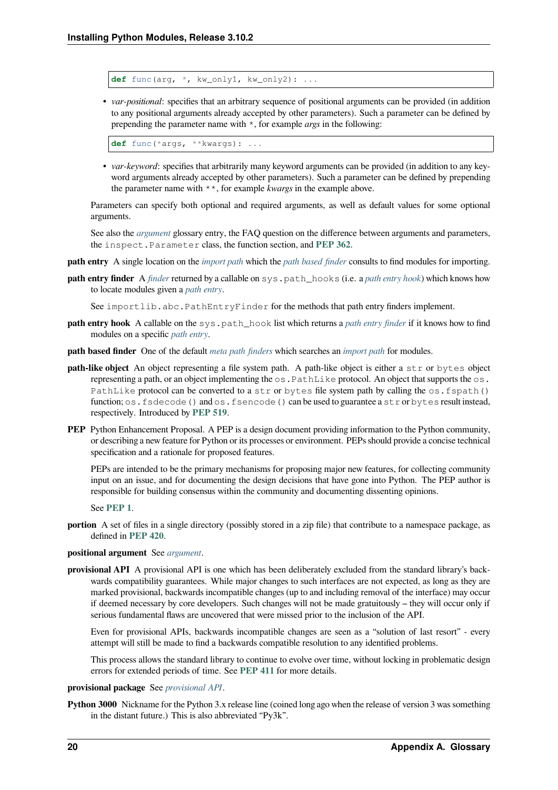```
def func(arg, *, kw_only1, kw_only2): ...
```
<span id="page-23-4"></span>• *var-positional*: specifies that an arbitrary sequence of positional arguments can be provided (in addition to any positional arguments already accepted by other parameters). Such a parameter can be defined by prepending the parameter name with \*, for example *args* in the following:

```
def func(*args, **kwargs): ...
```
• *var-keyword*: specifies that arbitrarily many keyword arguments can be provided (in addition to any keyword arguments already accepted by other parameters). Such a parameter can be defined by prepending the parameter name with \*\*, for example *kwargs* in the example above.

Parameters can specify both optional and required arguments, as well as default values for some optional arguments.

See also the *argument* glossary entry, the FAQ question on the difference between arguments and parameters, the inspect.Parameter class, the function section, and **PEP 362**.

- **path entry** A single location on the *import path* which the *path based finder* consults to find modules for importing.
- **path entry [finder](#page-14-2)** A *finder* returned by a callable on sys.path\_hooks (i.e. a *path entry hook*) which knows how to locate modules given a *path entry*.

<span id="page-23-1"></span><span id="page-23-0"></span>See importlib.abc.Pa[thEntryFi](#page-19-2)nder for [the methods that](#page-23-2) path entry finders implement.

- **path entry hook** A [callable](#page-18-4) on the sys.path\_hook list which returns a *path [entry finder](#page-23-3)* if it knows how to find modules on a specific *pat[h entry](#page-23-1)*.
- **path based finder** One of the default *meta path finders* which searches an *import path* for modules.
- <span id="page-23-3"></span><span id="page-23-2"></span>**path-likeobject** An object representing a file system path. A path-like o[bject is either a](#page-23-0) str or bytes object representing a path, o[r an object](#page-23-1) implementing the  $\circ s$ . PathLike protocol. An object that supports the  $\circ s$ . PathLike protocol can be converted to a str or bytes file system path by calling the  $\circ s$ . fspath() function;  $\circ s$ . fsdecode() and  $\circ s$ . fsencode() can be used to [guarantee a](#page-19-2) str or bytes result instead, respectively. Introduced by **PEP 519**.
- **PEP** Python Enhancement Proposal. A PEP is a design document providing information to the Python community, or describing a new feature for Python or its processes or environment. PEPs should provide a concise technical specification and a rational[e for propo](https://www.python.org/dev/peps/pep-0519)sed features.

PEPs are intended to be the primary mechanisms for proposing major new features, for collecting community input on an issue, and for documenting the design decisions that have gone into Python. The PEP author is responsible for building consensus within the community and documenting dissenting opinions.

See **PEP 1**.

**portion** A set of files in a single directory (possibly stored in a zip file) that contribute to a namespace package, as defined in **PEP 420**.

#### **positional [argum](https://www.python.org/dev/peps/pep-0001)ent** See *argument*.

**provisional API** A provisional API is one which has been deliberately excluded from the standard library's backwards co[mpatibility](https://www.python.org/dev/peps/pep-0420) guarantees. While major changes to such interfaces are not expected, as long as they are marked provisional, backwards incompatible changes (up to and including removal of the interface) may occur if deemed necessary [by core d](#page-14-2)evelopers. Such changes will not be made gratuitously – they will occur only if serious fundamental flaws are uncovered that were missed prior to the inclusion of the API.

Even for provisional APIs, backwards incompatible changes are seen as a "solution of last resort" - every attempt will still be made to find a backwards compatible resolution to any identified problems.

This process allows the standard library to continue to evolve over time, without locking in problematic design errors for extended periods of time. See **PEP 411** for more details.

#### **provisional package** See *provisional API*.

**Python 3000** Nickname for the Python 3.x release line (coined long ago when the release of version 3 was something in the distant future.) This is also abbrev[iated "Py3](https://www.python.org/dev/peps/pep-0411)k".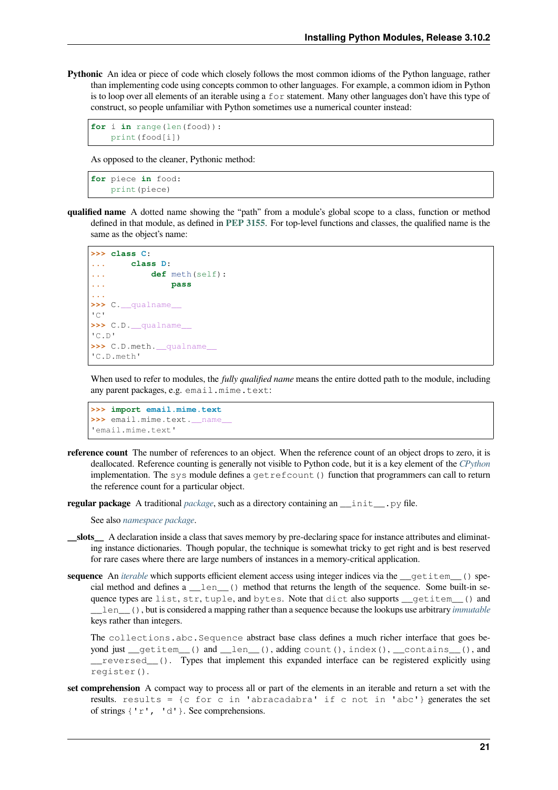<span id="page-24-2"></span>**Pythonic** An idea or piece of code which closely follows the most common idioms of the Python language, rather than implementing code using concepts common to other languages. For example, a common idiom in Python is to loop over all elements of an iterable using a  $f \circ r$  statement. Many other languages don't have this type of construct, so people unfamiliar with Python sometimes use a numerical counter instead:

```
for i in range(len(food)):
    print(food[i])
```
As opposed to the cleaner, Pythonic method:

```
for piece in food:
    print(piece)
```
**qualified name** A dotted name showing the "path" from a module's global scope to a class, function or method defined in that module, as defined in **PEP 3155**. For top-level functions and classes, the qualified name is the same as the object's name:

```
>>> class C:
... class D:
... def meth(self):
... pass
...
>>> C.__qualname__
C<sub>1</sub>>>> C.D.__qualname__
'C.D'
>>> C.D.meth.__qualname__
'C.D.meth'
```
When used to refer to modules, the *fully qualified name* means the entire dotted path to the module, including any parent packages, e.g. email.mime.text:

```
>>> import email.mime.text
>>> email.mime.text.__name__
'email.mime.text'
```
- **reference count** The number of references to an object. When the reference count of an object drops to zero, it is deallocated. Reference counting is generally not visible to Python code, but it is a key element of the *CPython* implementation. The sys module defines a  $q$ etrefcount() function that programmers can call to return the reference count for a particular object.
- **regular package** A traditional *package*, such as a directory containing an *\_\_init\_\_.py* file.

<span id="page-24-1"></span>See also *namespace package*.

- **\_\_slots\_\_** A declaration inside a class that saves memory by pre-declaring space for instance attributes and eliminating instance dictionaries. [Though](#page-22-2) popular, the technique is somewhat tricky to get right and is best reserved for rare [cases where there ar](#page-22-4)e large numbers of instances in a memory-critical application.
- **sequence** An *iterable* which supports efficient element access using integer indices via the \_\_getitem\_\_() special method and defines a \_\_len\_\_() method that returns the length of the sequence. Some built-in sequence types are list, str, tuple, and bytes. Note that dict also supports \_\_getitem\_\_() and \_\_len\_\_(), but is considered a mapping rather than a sequence because the lookups use arbitrary *immutable* keys rat[her than](#page-20-2) integers.

<span id="page-24-0"></span>The collections.abc.Sequence abstract base class defines a much richer interface that goes beyond just \_\_getitem\_() and \_\_len\_(), adding count(), index(), \_\_contains\_(), and \_\_reversed\_\_(). Types that implement this expanded interface can be registered expli[citly using](#page-19-1) register().

**set comprehension** A compact way to process all or part of the elements in an iterable and return a set with the results. results =  ${c$  for c in 'abracadabra' if c not in 'abc'} generates the set of strings {'r', 'd'}. See comprehensions.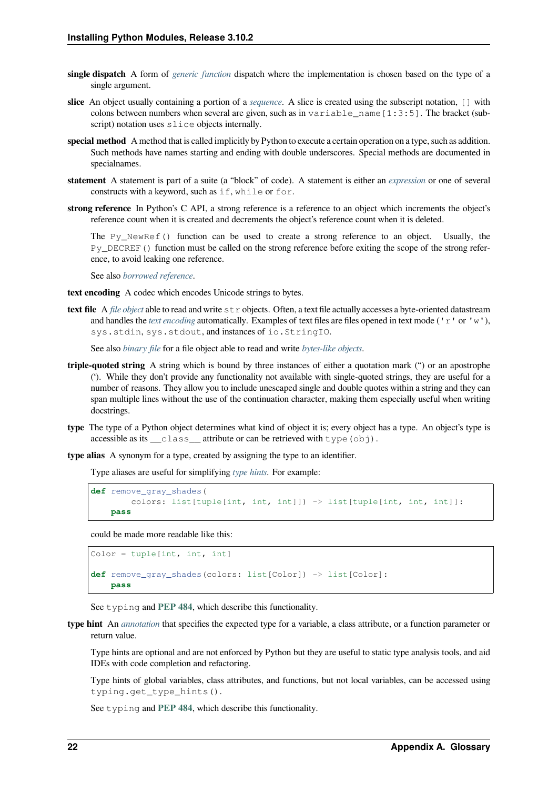- <span id="page-25-8"></span>**single dispatch** A form of *generic function* dispatch where the implementation is chosen based on the type of a single argument.
- <span id="page-25-4"></span>**slice** An object usually containing a portion of a *sequence*. A slice is created using the subscript notation, [] with colons between numbers when several are given, such as in  $variable_name[1:3:5]$ . The bracket (subscript) notation uses slice [objects in](#page-19-3)ternally.
- **special method** A method that is called implicitly by Python to execute a certain operation on a type, such as addition. Such methods have names starting and end[ing with](#page-24-0) double underscores. Special methods are documented in specialnames.
- <span id="page-25-6"></span>**statement** A statement is part of a suite (a "block" of code). A statement is either an *expression* or one of several constructs with a keyword, such as if, while or for.
- **strong reference** In Python's C API, a strong reference is a reference to an object which increments the object's reference count when it is created and decrements the object's reference count w[hen it is del](#page-17-3)eted.

<span id="page-25-3"></span><span id="page-25-2"></span>The Py\_NewRef() function can be used to create a strong reference to an object. Usually, the Py\_DECREF() function must be called on the strong reference before exiting the scope of the strong reference, to avoid leaking one reference.

See also *borrowed reference*.

**text encoding** A codec which encodes Unicode strings to bytes.

**text file** A *file object* able to read and write str objects. Often, a text file actually accesses a byte-oriented datastream and handles the *[text encoding](#page-15-5)* automatically. Examples of text files are files opened in text mode ( $'r'$  or  $'w'$ ), sys.stdin, sys.stdout, and instances of io.StringIO.

<span id="page-25-7"></span><span id="page-25-1"></span>See also *[binary](#page-17-1) file* for a file object able to read and write *bytes-like objects*.

- **triple-quoted string** [A string whi](#page-25-7)ch is bound by three instances of either a quotation mark (") or an apostrophe ('). While they don't provide any functionality not available with single-quoted strings, they are useful for a number of reasons. They allow you to include unescaped single and double quotes within a string and they can span mu[ltiple lines](#page-15-6) without the use of the continuation ch[aracter, making t](#page-15-4)hem especially useful when writing docstrings.
- **type** The type of a Python object determines what kind of object it is; every object has a type. An object's type is accessible as its \_\_class\_\_ attribute or can be retrieved with type (obj).

**type alias** A synonym for a type, created by assigning the type to an identifier.

<span id="page-25-5"></span>Type aliases are useful for simplifying *type hints*. For example:

```
def remove_gray_shades(
       colors: list[tuple[int, int, int]]) -> list[tuple[int, int, int]]:
   pass
```
could be made more readable like this:

```
Color = tuple(int, int, int]def remove_gray_shades(colors: list[Color]) -> list[Color]:
   pass
```
See typing and **PEP 484**, which describe this functionality.

**type hint** An *annotation* that specifies the expected type for a variable, a class attribute, or a function parameter or return value.

Type hints are opt[ional and](https://www.python.org/dev/peps/pep-0484) are not enforced by Python but they are useful to static type analysis tools, and aid IDEs w[ith code com](#page-14-3)pletion and refactoring.

<span id="page-25-0"></span>Type hints of global variables, class attributes, and functions, but not local variables, can be accessed using typing.get\_type\_hints().

See typing and **PEP 484**, which describe this functionality.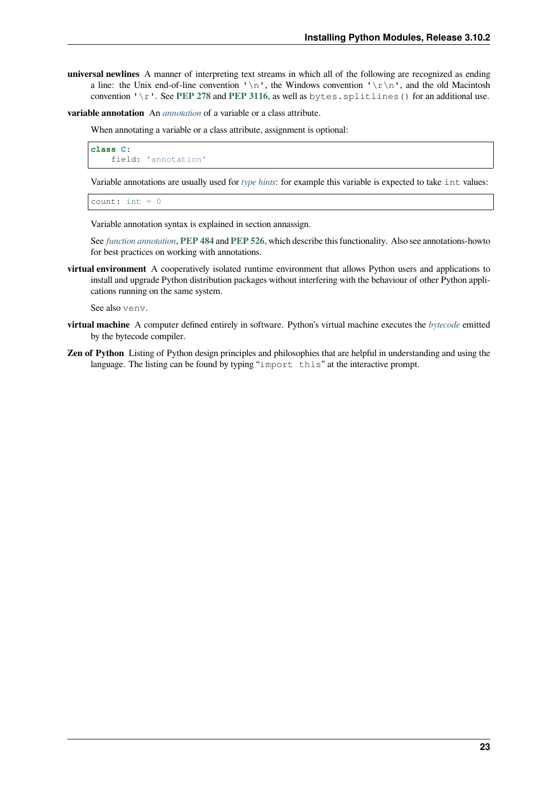<span id="page-26-3"></span>**universal newlines** A manner of interpreting text streams in which all of the following are recognized as ending a line: the Unix end-of-line convention '\n', the Windows convention '\n\n', and the old Macintosh convention '\r'. See **PEP 278** and **PEP 3116**, as well as bytes.splitlines() for an additional use.

**variable annotation** An *annotation* of a variable or a class attribute.

When annotating a variable or a class attribute, assignment is optional:

```
class C:
    field: 'annotation'
```
Variable annotations are usually used for *type hints*: for example this variable is expected to take int values:

count:  $int = 0$ 

Variable annotation syntax is explained i[n section a](#page-25-0)nnassign.

See *function annotation*, **PEP 484** and **PEP 526**, which describe this functionality. Also see annotations-howto for best practices on working with annotations.

**virtual environment** A cooperatively isolated runtime environment that allows Python users and applications to install and upgrade Python distributio[n packages](https://www.python.org/dev/peps/pep-0526) without interfering with the behaviour of other Python applicati[ons running on the s](#page-18-0)[ame system](https://www.python.org/dev/peps/pep-0484).

<span id="page-26-0"></span>See also venv.

- **virtual machine** A computer defined entirely in software. Python's virtual machine executes the *bytecode* emitted by the bytecode compiler.
- <span id="page-26-2"></span>**Zen of Python** Listing of Python design principles and philosophies that are helpful in understanding and using the language. The listing can be found by typing "import this" at the interactive prompt.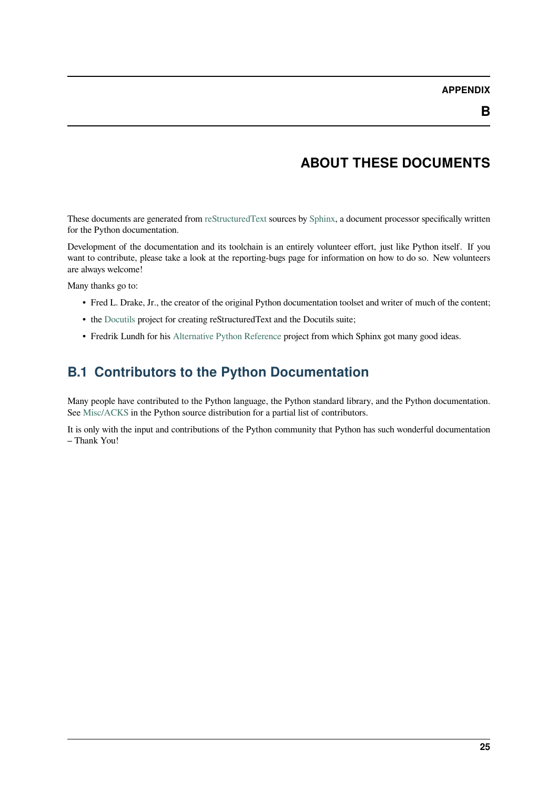**B**

### **ABOUT THESE DOCUMENTS**

<span id="page-28-0"></span>These documents are generated from reStructuredText sources by Sphinx, a document processor specifically written for the Python documentation.

Development of the documentation and its toolchain is an entirely volunteer effort, just like Python itself. If you want to contribute, please take a loo[k at the reporting-](http://docutils.sourceforge.net/rst.html)bugs page [for info](http://sphinx-doc.org/)rmation on how to do so. New volunteers are always welcome!

Many thanks go to:

- Fred L. Drake, Jr., the creator of the original Python documentation toolset and writer of much of the content;
- the Docutils project for creating reStructuredText and the Docutils suite;
- Fredrik Lundh for his Alternative Python Reference project from which Sphinx got many good ideas.

## **B.1 C[ontrib](http://docutils.sourceforge.net/)utor[s to the Python Do](http://effbot.org/zone/pyref.htm)cumentation**

<span id="page-28-1"></span>Many people have contributed to the Python language, the Python standard library, and the Python documentation. See Misc/ACKS in the Python source distribution for a partial list of contributors.

It is only with the input and contributions of the Python community that Python has such wonderful documentation – Thank You!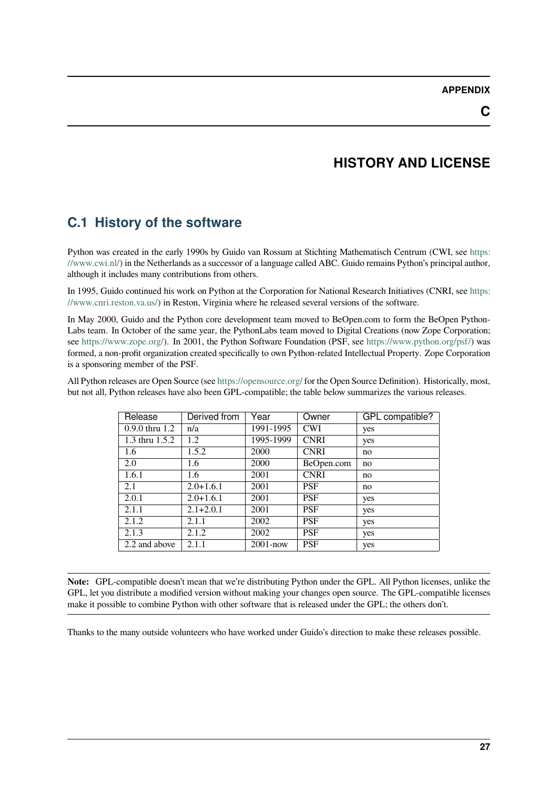**C**

### **HISTORY AND LICENSE**

### <span id="page-30-0"></span>**C.1 History of the software**

<span id="page-30-1"></span>Python was created in the early 1990s by Guido van Rossum at Stichting Mathematisch Centrum (CWI, see https: //www.cwi.nl/) in the Netherlands as a successor of a language called ABC. Guido remains Python's principal author, although it includes many contributions from others.

In 1995, Guido continued his work on Python at the Corporation for National Research Initiatives (CNRI, see [https:](https://www.cwi.nl/) [//www.cnri.res](https://www.cwi.nl/)ton.va.us/) in Reston, Virginia where he released several versions of the software.

In May 2000, Guido and the Python core development team moved to BeOpen.com to form the BeOpen Python-Labs team. In October of the same year, the PythonLabs team moved to Digital Creations (now Zope Corporation; see https://www.zope.org/). In 2001, the Python Software Foundation (PSF, see https://www.python.org/psf[/\) was](https://www.cnri.reston.va.us/) [formed, a non-profit orga](https://www.cnri.reston.va.us/)nization created specifically to own Python-related Intellectual Property. Zope Corporation is a sponsoring member of the PSF.

All Python releases are Open Source (see https://opensource.org/ for the Open Source Definition). Historically, most, but [not all, Python releases](https://www.zope.org/) have also been GPL-compatible; the table below sum[marizes the various releases.](https://www.python.org/psf/)

| Release            | Derived from  | Year         | Owner       | GPL compatible? |
|--------------------|---------------|--------------|-------------|-----------------|
| $0.9.0$ thru $1.2$ | n/a           | 1991-1995    | <b>CWI</b>  | yes             |
| 1.3 thru 1.5.2     | 1.2           | 1995-1999    | <b>CNRI</b> | yes             |
| 1.6                | 1.5.2         | 2000         | <b>CNRI</b> | no              |
| 2.0                | 1.6           | 2000         | BeOpen.com  | no              |
| 1.6.1              | 1.6           | 2001         | <b>CNRI</b> | no              |
| 2.1                | $2.0 + 1.6.1$ | 2001         | <b>PSF</b>  | no              |
| 2.0.1              | $2.0 + 1.6.1$ | 2001         | <b>PSF</b>  | yes             |
| 2.1.1              | $2.1 + 2.0.1$ | 2001         | <b>PSF</b>  | yes             |
| 2.1.2              | 2.1.1         | 2002         | <b>PSF</b>  | yes             |
| 2.1.3              | 2.1.2         | 2002         | <b>PSF</b>  | yes             |
| 2.2 and above      | 2.1.1         | $2001 - now$ | <b>PSF</b>  | yes             |

**Note:** GPL-compatible doesn't mean that we're distributing Python under the GPL. All Python licenses, unlike the GPL, let you distribute a modified version without making your changes open source. The GPL-compatible licenses make it possible to combine Python with other software that is released under the GPL; the others don't.

Thanks to the many outside volunteers who have worked under Guido's direction to make these releases possible.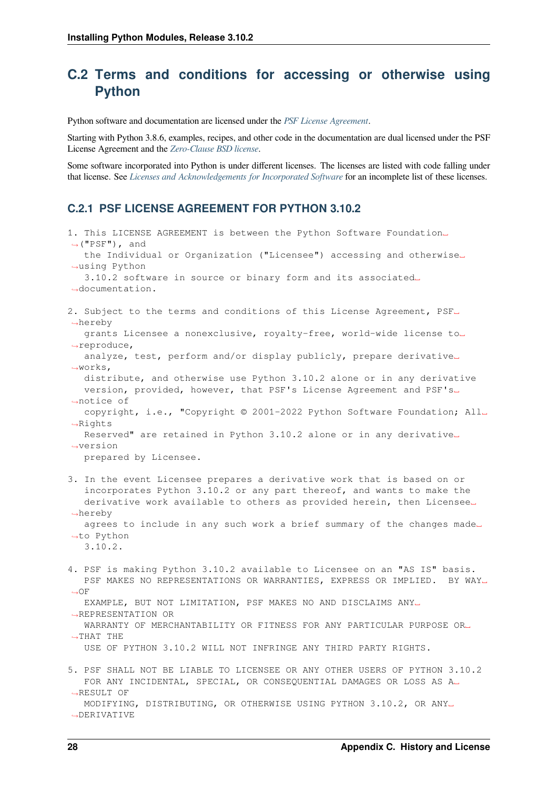# **C.2 Terms and conditions for accessing or otherwise using Python**

<span id="page-31-0"></span>Python software and documentation are licensed under the *PSF License Agreement*.

Starting with Python 3.8.6, examples, recipes, and other code in the documentation are dual licensed under the PSF License Agreement and the *Zero-Clause BSD license*.

Some software incorporated into Python is under different [licenses. The licenses](#page-31-1) are listed with code falling under that license. See *Licenses and Acknowledgements for Incorporated Software* for an incomplete list of these licenses.

#### **C.2.1 PSF LICENSE AGREEMENT FOR PYTHON 3.10.2**

<span id="page-31-1"></span>1. This LIC[ENSE AGREEMENT is between the Python So](#page-35-0)ftware Foundation␣ *,→*("PSF"), and the Individual or Organization ("Licensee") accessing and otherwise␣ *,→*using Python 3.10.2 software in source or binary form and its associated␣ *,→*documentation. 2. Subject to the terms and conditions of this License Agreement, PSF␣ *,→*hereby grants Licensee a nonexclusive, royalty-free, world-wide license to␣ *,→*reproduce, analyze, test, perform and/or display publicly, prepare derivative. *,→*works, distribute, and otherwise use Python 3.10.2 alone or in any derivative version, provided, however, that PSF's License Agreement and PSF's\_ *,→*notice of copyright, i.e., "Copyright © 2001-2022 Python Software Foundation; All\_ *,→*Rights Reserved" are retained in Python 3.10.2 alone or in any derivative␣ *,→*version prepared by Licensee. 3. In the event Licensee prepares a derivative work that is based on or incorporates Python 3.10.2 or any part thereof, and wants to make the derivative work available to others as provided herein, then Licensee␣ *,→*hereby agrees to include in any such work a brief summary of the changes made␣ *,→*to Python 3.10.2. 4. PSF is making Python 3.10.2 available to Licensee on an "AS IS" basis. PSF MAKES NO REPRESENTATIONS OR WARRANTIES, EXPRESS OR IMPLIED. BY WAY. *,→*OF EXAMPLE, BUT NOT LIMITATION, PSF MAKES NO AND DISCLAIMS ANY␣ *,→*REPRESENTATION OR WARRANTY OF MERCHANTABILITY OR FITNESS FOR ANY PARTICULAR PURPOSE OR␣ *,→*THAT THE USE OF PYTHON 3.10.2 WILL NOT INFRINGE ANY THIRD PARTY RIGHTS. 5. PSF SHALL NOT BE LIABLE TO LICENSEE OR ANY OTHER USERS OF PYTHON 3.10.2 FOR ANY INCIDENTAL, SPECIAL, OR CONSEQUENTIAL DAMAGES OR LOSS AS A␣ *,→*RESULT OF MODIFYING, DISTRIBUTING, OR OTHERWISE USING PYTHON 3.10.2, OR ANY␣

*,→*DERIVATIVE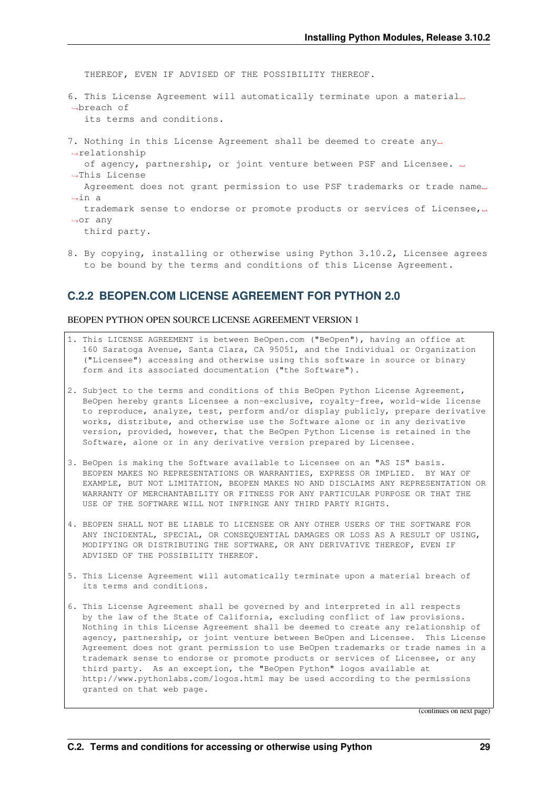THEREOF, EVEN IF ADVISED OF THE POSSIBILITY THEREOF.

6. This License Agreement will automatically terminate upon a material␣ *,→*breach of its terms and conditions. 7. Nothing in this License Agreement shall be deemed to create any␣ *,→*relationship of agency, partnership, or joint venture between PSF and Licensee. ␣ *,→*This License Agreement does not grant permission to use PSF trademarks or trade name␣ *,→*in a trademark sense to endorse or promote products or services of Licensee, \_ *,→*or any third party.

8. By copying, installing or otherwise using Python 3.10.2, Licensee agrees to be bound by the terms and conditions of this License Agreement.

#### <span id="page-32-0"></span>**C.2.2 BEOPEN.COM LICENSE AGREEMENT FOR PYTHON 2.0**

#### BEOPEN PYTHON OPEN SOURCE LICENSE AGREEMENT VERSION 1

- 1. This LICENSE AGREEMENT is between BeOpen.com ("BeOpen"), having an office at 160 Saratoga Avenue, Santa Clara, CA 95051, and the Individual or Organization ("Licensee") accessing and otherwise using this software in source or binary form and its associated documentation ("the Software").
- 2. Subject to the terms and conditions of this BeOpen Python License Agreement, BeOpen hereby grants Licensee a non-exclusive, royalty-free, world-wide license to reproduce, analyze, test, perform and/or display publicly, prepare derivative works, distribute, and otherwise use the Software alone or in any derivative version, provided, however, that the BeOpen Python License is retained in the Software, alone or in any derivative version prepared by Licensee.
- 3. BeOpen is making the Software available to Licensee on an "AS IS" basis. BEOPEN MAKES NO REPRESENTATIONS OR WARRANTIES, EXPRESS OR IMPLIED. BY WAY OF EXAMPLE, BUT NOT LIMITATION, BEOPEN MAKES NO AND DISCLAIMS ANY REPRESENTATION OR WARRANTY OF MERCHANTABILITY OR FITNESS FOR ANY PARTICULAR PURPOSE OR THAT THE USE OF THE SOFTWARE WILL NOT INFRINGE ANY THIRD PARTY RIGHTS.
- 4. BEOPEN SHALL NOT BE LIABLE TO LICENSEE OR ANY OTHER USERS OF THE SOFTWARE FOR ANY INCIDENTAL, SPECIAL, OR CONSEQUENTIAL DAMAGES OR LOSS AS A RESULT OF USING, MODIFYING OR DISTRIBUTING THE SOFTWARE, OR ANY DERIVATIVE THEREOF, EVEN IF ADVISED OF THE POSSIBILITY THEREOF.
- 5. This License Agreement will automatically terminate upon a material breach of its terms and conditions.
- 6. This License Agreement shall be governed by and interpreted in all respects by the law of the State of California, excluding conflict of law provisions. Nothing in this License Agreement shall be deemed to create any relationship of agency, partnership, or joint venture between BeOpen and Licensee. This License Agreement does not grant permission to use BeOpen trademarks or trade names in a trademark sense to endorse or promote products or services of Licensee, or any third party. As an exception, the "BeOpen Python" logos available at http://www.pythonlabs.com/logos.html may be used according to the permissions granted on that web page.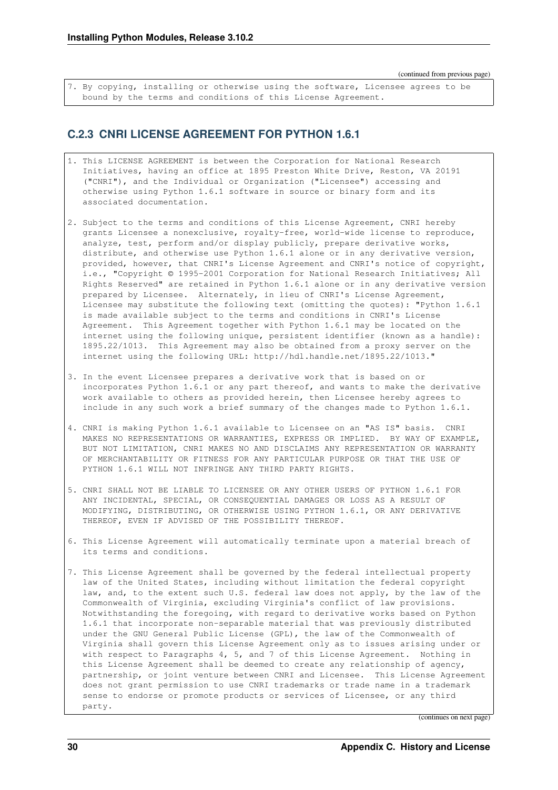7. By copying, installing or otherwise using the software, Licensee agrees to be bound by the terms and conditions of this License Agreement.

### <span id="page-33-0"></span>**C.2.3 CNRI LICENSE AGREEMENT FOR PYTHON 1.6.1**

- 1. This LICENSE AGREEMENT is between the Corporation for National Research Initiatives, having an office at 1895 Preston White Drive, Reston, VA 20191 ("CNRI"), and the Individual or Organization ("Licensee") accessing and otherwise using Python 1.6.1 software in source or binary form and its associated documentation.
- 2. Subject to the terms and conditions of this License Agreement, CNRI hereby grants Licensee a nonexclusive, royalty-free, world-wide license to reproduce, analyze, test, perform and/or display publicly, prepare derivative works, distribute, and otherwise use Python 1.6.1 alone or in any derivative version, provided, however, that CNRI's License Agreement and CNRI's notice of copyright, i.e., "Copyright © 1995-2001 Corporation for National Research Initiatives; All Rights Reserved" are retained in Python 1.6.1 alone or in any derivative version prepared by Licensee. Alternately, in lieu of CNRI's License Agreement, Licensee may substitute the following text (omitting the quotes): "Python 1.6.1 is made available subject to the terms and conditions in CNRI's License Agreement. This Agreement together with Python 1.6.1 may be located on the internet using the following unique, persistent identifier (known as a handle): 1895.22/1013. This Agreement may also be obtained from a proxy server on the internet using the following URL: http://hdl.handle.net/1895.22/1013."
- 3. In the event Licensee prepares a derivative work that is based on or incorporates Python 1.6.1 or any part thereof, and wants to make the derivative work available to others as provided herein, then Licensee hereby agrees to include in any such work a brief summary of the changes made to Python 1.6.1.
- 4. CNRI is making Python 1.6.1 available to Licensee on an "AS IS" basis. CNRI MAKES NO REPRESENTATIONS OR WARRANTIES, EXPRESS OR IMPLIED. BY WAY OF EXAMPLE, BUT NOT LIMITATION, CNRI MAKES NO AND DISCLAIMS ANY REPRESENTATION OR WARRANTY OF MERCHANTABILITY OR FITNESS FOR ANY PARTICULAR PURPOSE OR THAT THE USE OF PYTHON 1.6.1 WILL NOT INFRINGE ANY THIRD PARTY RIGHTS.
- 5. CNRI SHALL NOT BE LIABLE TO LICENSEE OR ANY OTHER USERS OF PYTHON 1.6.1 FOR ANY INCIDENTAL, SPECIAL, OR CONSEQUENTIAL DAMAGES OR LOSS AS A RESULT OF MODIFYING, DISTRIBUTING, OR OTHERWISE USING PYTHON 1.6.1, OR ANY DERIVATIVE THEREOF, EVEN IF ADVISED OF THE POSSIBILITY THEREOF.
- 6. This License Agreement will automatically terminate upon a material breach of its terms and conditions.
- 7. This License Agreement shall be governed by the federal intellectual property law of the United States, including without limitation the federal copyright law, and, to the extent such U.S. federal law does not apply, by the law of the Commonwealth of Virginia, excluding Virginia's conflict of law provisions. Notwithstanding the foregoing, with regard to derivative works based on Python 1.6.1 that incorporate non-separable material that was previously distributed under the GNU General Public License (GPL), the law of the Commonwealth of Virginia shall govern this License Agreement only as to issues arising under or with respect to Paragraphs 4, 5, and 7 of this License Agreement. Nothing in this License Agreement shall be deemed to create any relationship of agency, partnership, or joint venture between CNRI and Licensee. This License Agreement does not grant permission to use CNRI trademarks or trade name in a trademark sense to endorse or promote products or services of Licensee, or any third party.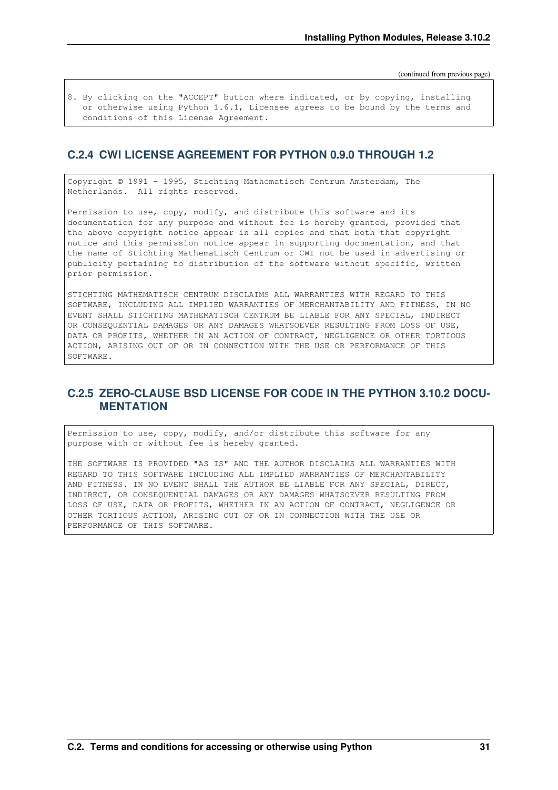8. By clicking on the "ACCEPT" button where indicated, or by copying, installing or otherwise using Python 1.6.1, Licensee agrees to be bound by the terms and conditions of this License Agreement.

### <span id="page-34-0"></span>**C.2.4 CWI LICENSE AGREEMENT FOR PYTHON 0.9.0 THROUGH 1.2**

Copyright © 1991 - 1995, Stichting Mathematisch Centrum Amsterdam, The Netherlands. All rights reserved.

Permission to use, copy, modify, and distribute this software and its documentation for any purpose and without fee is hereby granted, provided that the above copyright notice appear in all copies and that both that copyright notice and this permission notice appear in supporting documentation, and that the name of Stichting Mathematisch Centrum or CWI not be used in advertising or publicity pertaining to distribution of the software without specific, written prior permission.

STICHTING MATHEMATISCH CENTRUM DISCLAIMS ALL WARRANTIES WITH REGARD TO THIS SOFTWARE, INCLUDING ALL IMPLIED WARRANTIES OF MERCHANTABILITY AND FITNESS, IN NO EVENT SHALL STICHTING MATHEMATISCH CENTRUM BE LIABLE FOR ANY SPECIAL, INDIRECT OR CONSEQUENTIAL DAMAGES OR ANY DAMAGES WHATSOEVER RESULTING FROM LOSS OF USE, DATA OR PROFITS, WHETHER IN AN ACTION OF CONTRACT, NEGLIGENCE OR OTHER TORTIOUS ACTION, ARISING OUT OF OR IN CONNECTION WITH THE USE OR PERFORMANCE OF THIS SOFTWARE.

### <span id="page-34-1"></span>**C.2.5 ZERO-CLAUSE BSD LICENSE FOR CODE IN THE PYTHON 3.10.2 DOCU-MENTATION**

Permission to use, copy, modify, and/or distribute this software for any purpose with or without fee is hereby granted.

THE SOFTWARE IS PROVIDED "AS IS" AND THE AUTHOR DISCLAIMS ALL WARRANTIES WITH REGARD TO THIS SOFTWARE INCLUDING ALL IMPLIED WARRANTIES OF MERCHANTABILITY AND FITNESS. IN NO EVENT SHALL THE AUTHOR BE LIABLE FOR ANY SPECIAL, DIRECT, INDIRECT, OR CONSEQUENTIAL DAMAGES OR ANY DAMAGES WHATSOEVER RESULTING FROM LOSS OF USE, DATA OR PROFITS, WHETHER IN AN ACTION OF CONTRACT, NEGLIGENCE OR OTHER TORTIOUS ACTION, ARISING OUT OF OR IN CONNECTION WITH THE USE OR PERFORMANCE OF THIS SOFTWARE.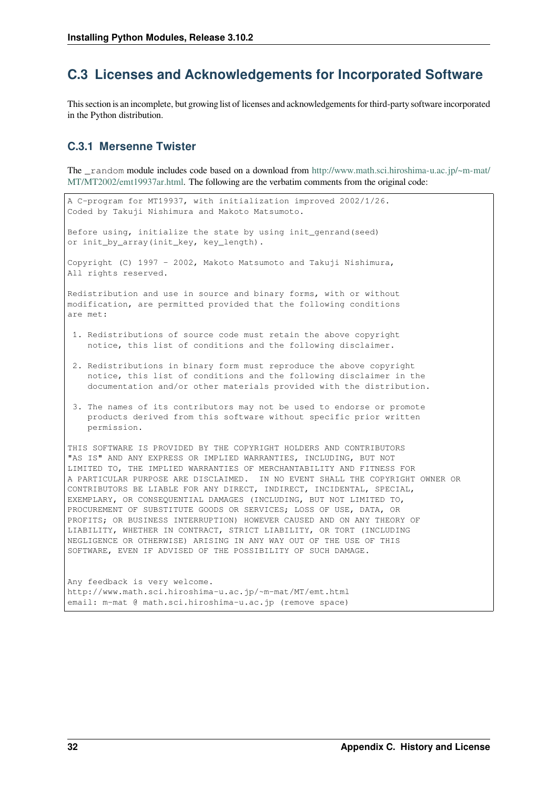# **C.3 Licenses and Acknowledgements for Incorporated Software**

<span id="page-35-0"></span>This section is an incomplete, but growing list of licenses and acknowledgements for third-party software incorporated in the Python distribution.

### **C.3.1 Mersenne Twister**

<span id="page-35-1"></span>The random module includes code based on a download from http://www.math.sci.hiroshima-u.ac.jp/~m-mat/ MT/MT2002/emt19937ar.html. The following are the verbatim comments from the original code:

```
A C-program for MT19937, with initialization improved 2002/1/26.
Coded by Takuji Nishimura and Makoto Matsumoto.
Before using, initialize the state by using init_genrand(seed)
or init_by_array(init_key, key_length).
Copyright (C) 1997 - 2002, Makoto Matsumoto and Takuji Nishimura,
All rights reserved.
Redistribution and use in source and binary forms, with or without
modification, are permitted provided that the following conditions
are met:
1. Redistributions of source code must retain the above copyright
   notice, this list of conditions and the following disclaimer.
 2. Redistributions in binary form must reproduce the above copyright
   notice, this list of conditions and the following disclaimer in the
   documentation and/or other materials provided with the distribution.
3. The names of its contributors may not be used to endorse or promote
    products derived from this software without specific prior written
   permission.
THIS SOFTWARE IS PROVIDED BY THE COPYRIGHT HOLDERS AND CONTRIBUTORS
"AS IS" AND ANY EXPRESS OR IMPLIED WARRANTIES, INCLUDING, BUT NOT
LIMITED TO, THE IMPLIED WARRANTIES OF MERCHANTABILITY AND FITNESS FOR
A PARTICULAR PURPOSE ARE DISCLAIMED. IN NO EVENT SHALL THE COPYRIGHT OWNER OR
CONTRIBUTORS BE LIABLE FOR ANY DIRECT, INDIRECT, INCIDENTAL, SPECIAL,
EXEMPLARY, OR CONSEQUENTIAL DAMAGES (INCLUDING, BUT NOT LIMITED TO,
PROCUREMENT OF SUBSTITUTE GOODS OR SERVICES; LOSS OF USE, DATA, OR
PROFITS; OR BUSINESS INTERRUPTION) HOWEVER CAUSED AND ON ANY THEORY OF
LIABILITY, WHETHER IN CONTRACT, STRICT LIABILITY, OR TORT (INCLUDING
NEGLIGENCE OR OTHERWISE) ARISING IN ANY WAY OUT OF THE USE OF THIS
SOFTWARE, EVEN IF ADVISED OF THE POSSIBILITY OF SUCH DAMAGE.
Any feedback is very welcome.
http://www.math.sci.hiroshima-u.ac.jp/~m-mat/MT/emt.html
```
email: m-mat @ math.sci.hiroshima-u.ac.jp (remove space)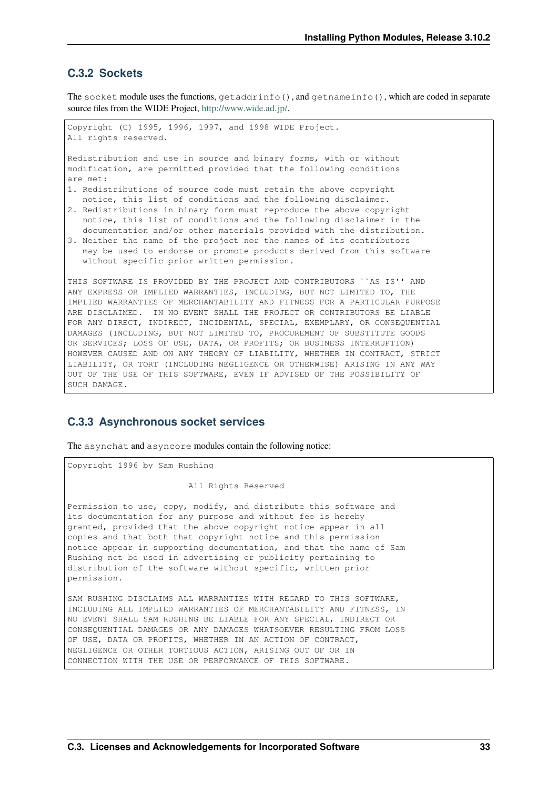### **C.3.2 Sockets**

The socket module uses the functions, getaddrinfo(), and getnameinfo(), which are coded in separate source files from the WIDE Project, http://www.wide.ad.jp/.

```
Copyright (C) 1995, 1996, 1997, and 1998 WIDE Project.
All rights reserved.
Redistribution and use in source and binary forms, with or without
modification, are permitted provided that the following conditions
are met:
1. Redistributions of source code must retain the above copyright
   notice, this list of conditions and the following disclaimer.
2. Redistributions in binary form must reproduce the above copyright
  notice, this list of conditions and the following disclaimer in the
  documentation and/or other materials provided with the distribution.
3. Neither the name of the project nor the names of its contributors
  may be used to endorse or promote products derived from this software
  without specific prior written permission.
THIS SOFTWARE IS PROVIDED BY THE PROJECT AND CONTRIBUTORS ``AS IS'' AND
ANY EXPRESS OR IMPLIED WARRANTIES, INCLUDING, BUT NOT LIMITED TO, THE
IMPLIED WARRANTIES OF MERCHANTABILITY AND FITNESS FOR A PARTICULAR PURPOSE
ARE DISCLAIMED. IN NO EVENT SHALL THE PROJECT OR CONTRIBUTORS BE LIABLE
FOR ANY DIRECT, INDIRECT, INCIDENTAL, SPECIAL, EXEMPLARY, OR CONSEQUENTIAL
DAMAGES (INCLUDING, BUT NOT LIMITED TO, PROCUREMENT OF SUBSTITUTE GOODS
OR SERVICES; LOSS OF USE, DATA, OR PROFITS; OR BUSINESS INTERRUPTION)
HOWEVER CAUSED AND ON ANY THEORY OF LIABILITY, WHETHER IN CONTRACT, STRICT
LIABILITY, OR TORT (INCLUDING NEGLIGENCE OR OTHERWISE) ARISING IN ANY WAY
OUT OF THE USE OF THIS SOFTWARE, EVEN IF ADVISED OF THE POSSIBILITY OF
SUCH DAMAGE.
```
#### **C.3.3 Asynchronous socket services**

The asynchat and asyncore modules contain the following notice:

<span id="page-36-1"></span>Copyright 1996 by Sam Rushing

All Rights Reserved

Permission to use, copy, modify, and distribute this software and its documentation for any purpose and without fee is hereby granted, provided that the above copyright notice appear in all copies and that both that copyright notice and this permission notice appear in supporting documentation, and that the name of Sam Rushing not be used in advertising or publicity pertaining to distribution of the software without specific, written prior permission.

SAM RUSHING DISCLAIMS ALL WARRANTIES WITH REGARD TO THIS SOFTWARE, INCLUDING ALL IMPLIED WARRANTIES OF MERCHANTABILITY AND FITNESS, IN NO EVENT SHALL SAM RUSHING BE LIABLE FOR ANY SPECIAL, INDIRECT OR CONSEQUENTIAL DAMAGES OR ANY DAMAGES WHATSOEVER RESULTING FROM LOSS OF USE, DATA OR PROFITS, WHETHER IN AN ACTION OF CONTRACT, NEGLIGENCE OR OTHER TORTIOUS ACTION, ARISING OUT OF OR IN CONNECTION WITH THE USE OR PERFORMANCE OF THIS SOFTWARE.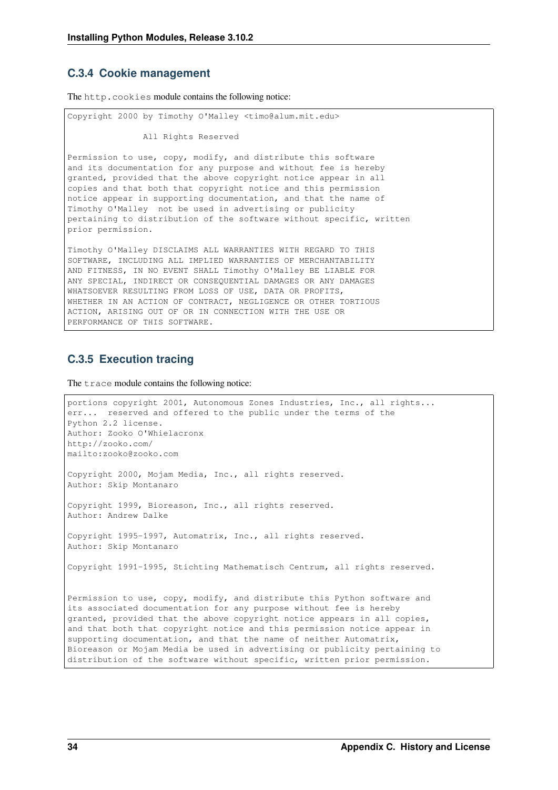#### <span id="page-37-0"></span>**C.3.4 Cookie management**

The http.cookies module contains the following notice:

```
Copyright 2000 by Timothy O'Malley <timo@alum.mit.edu>
               All Rights Reserved
Permission to use, copy, modify, and distribute this software
and its documentation for any purpose and without fee is hereby
granted, provided that the above copyright notice appear in all
copies and that both that copyright notice and this permission
notice appear in supporting documentation, and that the name of
Timothy O'Malley not be used in advertising or publicity
pertaining to distribution of the software without specific, written
prior permission.
Timothy O'Malley DISCLAIMS ALL WARRANTIES WITH REGARD TO THIS
SOFTWARE, INCLUDING ALL IMPLIED WARRANTIES OF MERCHANTABILITY
AND FITNESS, IN NO EVENT SHALL Timothy O'Malley BE LIABLE FOR
ANY SPECIAL, INDIRECT OR CONSEQUENTIAL DAMAGES OR ANY DAMAGES
WHATSOEVER RESULTING FROM LOSS OF USE, DATA OR PROFITS,
WHETHER IN AN ACTION OF CONTRACT, NEGLIGENCE OR OTHER TORTIOUS
ACTION, ARISING OUT OF OR IN CONNECTION WITH THE USE OR
PERFORMANCE OF THIS SOFTWARE.
```
### <span id="page-37-1"></span>**C.3.5 Execution tracing**

The trace module contains the following notice:

```
portions copyright 2001, Autonomous Zones Industries, Inc., all rights...
err... reserved and offered to the public under the terms of the
Python 2.2 license.
Author: Zooko O'Whielacronx
http://zooko.com/
mailto:zooko@zooko.com
Copyright 2000, Mojam Media, Inc., all rights reserved.
Author: Skip Montanaro
Copyright 1999, Bioreason, Inc., all rights reserved.
Author: Andrew Dalke
Copyright 1995-1997, Automatrix, Inc., all rights reserved.
Author: Skip Montanaro
Copyright 1991-1995, Stichting Mathematisch Centrum, all rights reserved.
Permission to use, copy, modify, and distribute this Python software and
its associated documentation for any purpose without fee is hereby
granted, provided that the above copyright notice appears in all copies,
and that both that copyright notice and this permission notice appear in
supporting documentation, and that the name of neither Automatrix,
Bioreason or Mojam Media be used in advertising or publicity pertaining to
distribution of the software without specific, written prior permission.
```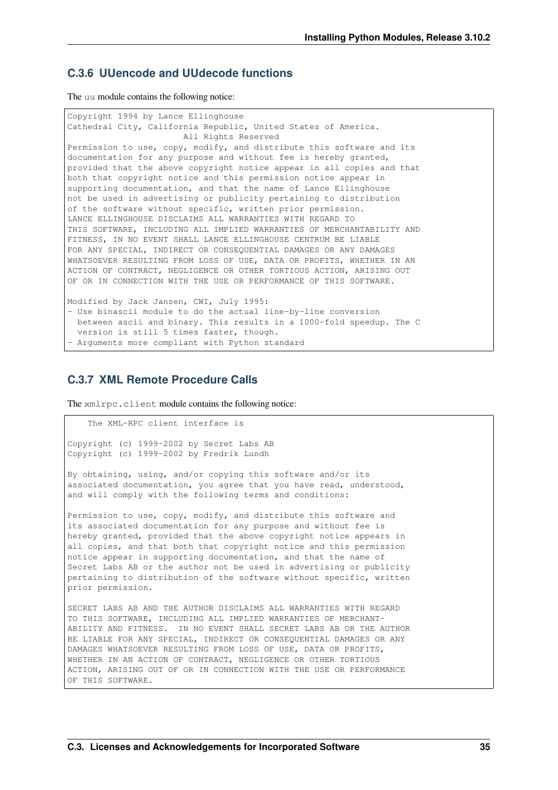#### <span id="page-38-0"></span>**C.3.6 UUencode and UUdecode functions**

The uu module contains the following notice:

```
Copyright 1994 by Lance Ellinghouse
Cathedral City, California Republic, United States of America.
                       All Rights Reserved
Permission to use, copy, modify, and distribute this software and its
documentation for any purpose and without fee is hereby granted,
provided that the above copyright notice appear in all copies and that
both that copyright notice and this permission notice appear in
supporting documentation, and that the name of Lance Ellinghouse
not be used in advertising or publicity pertaining to distribution
of the software without specific, written prior permission.
LANCE ELLINGHOUSE DISCLAIMS ALL WARRANTIES WITH REGARD TO
THIS SOFTWARE, INCLUDING ALL IMPLIED WARRANTIES OF MERCHANTABILITY AND
FITNESS, IN NO EVENT SHALL LANCE ELLINGHOUSE CENTRUM BE LIABLE
FOR ANY SPECIAL, INDIRECT OR CONSEQUENTIAL DAMAGES OR ANY DAMAGES
WHATSOEVER RESULTING FROM LOSS OF USE, DATA OR PROFITS, WHETHER IN AN
ACTION OF CONTRACT, NEGLIGENCE OR OTHER TORTIOUS ACTION, ARISING OUT
OF OR IN CONNECTION WITH THE USE OR PERFORMANCE OF THIS SOFTWARE.
Modified by Jack Jansen, CWI, July 1995:
- Use binascii module to do the actual line-by-line conversion
 between ascii and binary. This results in a 1000-fold speedup. The C
 version is still 5 times faster, though.
- Arguments more compliant with Python standard
```
### <span id="page-38-1"></span>**C.3.7 XML Remote Procedure Calls**

The xmlrpc.client module contains the following notice:

The XML-RPC client interface is

Copyright (c) 1999-2002 by Secret Labs AB Copyright (c) 1999-2002 by Fredrik Lundh

By obtaining, using, and/or copying this software and/or its associated documentation, you agree that you have read, understood, and will comply with the following terms and conditions:

Permission to use, copy, modify, and distribute this software and its associated documentation for any purpose and without fee is hereby granted, provided that the above copyright notice appears in all copies, and that both that copyright notice and this permission notice appear in supporting documentation, and that the name of Secret Labs AB or the author not be used in advertising or publicity pertaining to distribution of the software without specific, written prior permission.

SECRET LABS AB AND THE AUTHOR DISCLAIMS ALL WARRANTIES WITH REGARD TO THIS SOFTWARE, INCLUDING ALL IMPLIED WARRANTIES OF MERCHANT-ABILITY AND FITNESS. IN NO EVENT SHALL SECRET LABS AB OR THE AUTHOR BE LIABLE FOR ANY SPECIAL, INDIRECT OR CONSEQUENTIAL DAMAGES OR ANY DAMAGES WHATSOEVER RESULTING FROM LOSS OF USE, DATA OR PROFITS, WHETHER IN AN ACTION OF CONTRACT, NEGLIGENCE OR OTHER TORTIOUS ACTION, ARISING OUT OF OR IN CONNECTION WITH THE USE OR PERFORMANCE OF THIS SOFTWARE.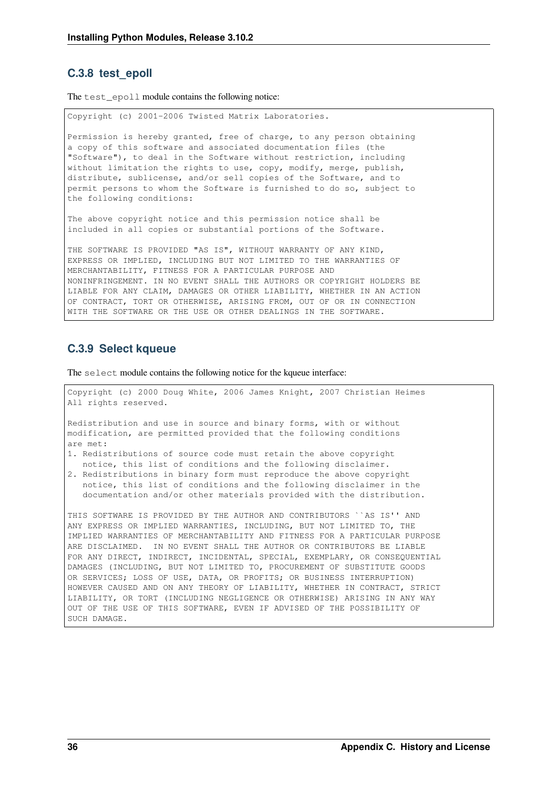#### <span id="page-39-0"></span>**C.3.8 test\_epoll**

The test\_epoll module contains the following notice:

Copyright (c) 2001-2006 Twisted Matrix Laboratories.

Permission is hereby granted, free of charge, to any person obtaining a copy of this software and associated documentation files (the "Software"), to deal in the Software without restriction, including without limitation the rights to use, copy, modify, merge, publish, distribute, sublicense, and/or sell copies of the Software, and to permit persons to whom the Software is furnished to do so, subject to the following conditions:

The above copyright notice and this permission notice shall be included in all copies or substantial portions of the Software.

THE SOFTWARE IS PROVIDED "AS IS", WITHOUT WARRANTY OF ANY KIND, EXPRESS OR IMPLIED, INCLUDING BUT NOT LIMITED TO THE WARRANTIES OF MERCHANTABILITY, FITNESS FOR A PARTICULAR PURPOSE AND NONINFRINGEMENT. IN NO EVENT SHALL THE AUTHORS OR COPYRIGHT HOLDERS BE LIABLE FOR ANY CLAIM, DAMAGES OR OTHER LIABILITY, WHETHER IN AN ACTION OF CONTRACT, TORT OR OTHERWISE, ARISING FROM, OUT OF OR IN CONNECTION WITH THE SOFTWARE OR THE USE OR OTHER DEALINGS IN THE SOFTWARE.

#### <span id="page-39-1"></span>**C.3.9 Select kqueue**

The select module contains the following notice for the kqueue interface:

Copyright (c) 2000 Doug White, 2006 James Knight, 2007 Christian Heimes All rights reserved.

Redistribution and use in source and binary forms, with or without modification, are permitted provided that the following conditions are met:

- 1. Redistributions of source code must retain the above copyright notice, this list of conditions and the following disclaimer.
- 2. Redistributions in binary form must reproduce the above copyright notice, this list of conditions and the following disclaimer in the documentation and/or other materials provided with the distribution.

THIS SOFTWARE IS PROVIDED BY THE AUTHOR AND CONTRIBUTORS ``AS IS'' AND ANY EXPRESS OR IMPLIED WARRANTIES, INCLUDING, BUT NOT LIMITED TO, THE IMPLIED WARRANTIES OF MERCHANTABILITY AND FITNESS FOR A PARTICULAR PURPOSE ARE DISCLAIMED. IN NO EVENT SHALL THE AUTHOR OR CONTRIBUTORS BE LIABLE FOR ANY DIRECT, INDIRECT, INCIDENTAL, SPECIAL, EXEMPLARY, OR CONSEQUENTIAL DAMAGES (INCLUDING, BUT NOT LIMITED TO, PROCUREMENT OF SUBSTITUTE GOODS OR SERVICES; LOSS OF USE, DATA, OR PROFITS; OR BUSINESS INTERRUPTION) HOWEVER CAUSED AND ON ANY THEORY OF LIABILITY, WHETHER IN CONTRACT, STRICT LIABILITY, OR TORT (INCLUDING NEGLIGENCE OR OTHERWISE) ARISING IN ANY WAY OUT OF THE USE OF THIS SOFTWARE, EVEN IF ADVISED OF THE POSSIBILITY OF SUCH DAMAGE.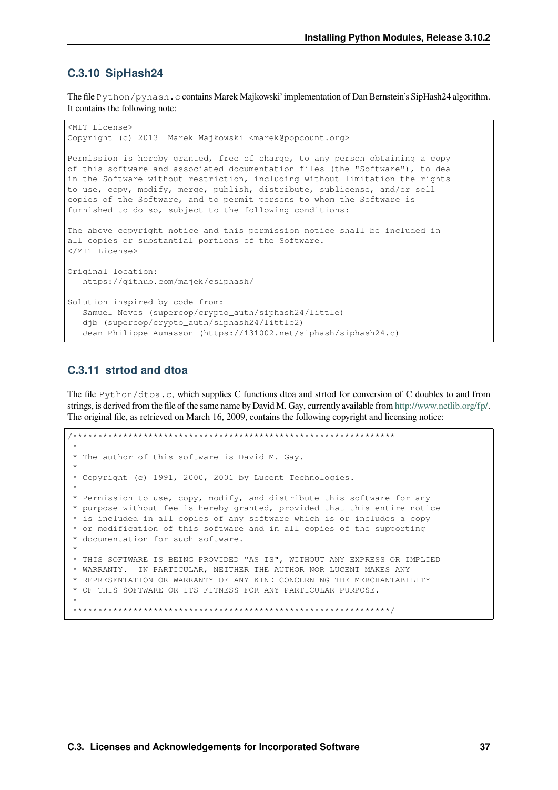#### **C.3.10 SipHash24**

The file Python/pyhash.c contains Marek Majkowski' implementation of Dan Bernstein's SipHash24 algorithm. It contains the following note:

```
<MIT License>
Copyright (c) 2013 Marek Majkowski <marek@popcount.org>
Permission is hereby granted, free of charge, to any person obtaining a copy
of this software and associated documentation files (the "Software"), to deal
in the Software without restriction, including without limitation the rights
to use, copy, modify, merge, publish, distribute, sublicense, and/or sell
copies of the Software, and to permit persons to whom the Software is
furnished to do so, subject to the following conditions:
The above copyright notice and this permission notice shall be included in
all copies or substantial portions of the Software.
</MIT License>
Original location:
  https://github.com/majek/csiphash/
Solution inspired by code from:
  Samuel Neves (supercop/crypto_auth/siphash24/little)
  djb (supercop/crypto_auth/siphash24/little2)
  Jean-Philippe Aumasson (https://131002.net/siphash/siphash24.c)
```
#### **C.3.11 strtod and dtoa**

<span id="page-40-1"></span>The file Python/dtoa.c, which supplies C functions dtoa and strtod for conversion of C doubles to and from strings, is derived from the file of the same name by David M. Gay, currently available from http://www.netlib.org/fp/. The original file, as retrieved on March 16, 2009, contains the following copyright and licensing notice:

```
/****************************************************************
 *
* The author of this software is David M. Gay.
 *
* Copyright (c) 1991, 2000, 2001 by Lucent Technologies.
 *
* Permission to use, copy, modify, and distribute this software for any
* purpose without fee is hereby granted, provided that this entire notice
* is included in all copies of any software which is or includes a copy
* or modification of this software and in all copies of the supporting
* documentation for such software.
 *
* THIS SOFTWARE IS BEING PROVIDED "AS IS", WITHOUT ANY EXPRESS OR IMPLIED
* WARRANTY. IN PARTICULAR, NEITHER THE AUTHOR NOR LUCENT MAKES ANY
* REPRESENTATION OR WARRANTY OF ANY KIND CONCERNING THE MERCHANTABILITY
* OF THIS SOFTWARE OR ITS FITNESS FOR ANY PARTICULAR PURPOSE.
 *
 ***************************************************************/
```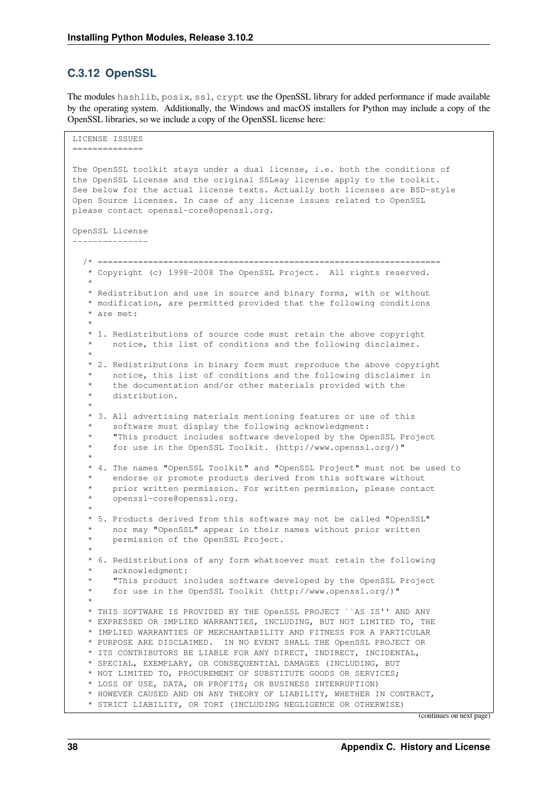#### **C.3.12 OpenSSL**

The modules hashlib, posix, ssl, crypt use the OpenSSL library for added performance if made available by the operating system. Additionally, the Windows and macOS installers for Python may include a copy of the OpenSSL libraries, so we include a copy of the OpenSSL license here:

```
LICENSE ISSUES
==============
The OpenSSL toolkit stays under a dual license, i.e. both the conditions of
the OpenSSL License and the original SSLeay license apply to the toolkit.
See below for the actual license texts. Actually both licenses are BSD-style
Open Source licenses. In case of any license issues related to OpenSSL
please contact openssl-core@openssl.org.
OpenSSL License
---------------
  /* ====================================================================
   * Copyright (c) 1998-2008 The OpenSSL Project. All rights reserved.
   *
   * Redistribution and use in source and binary forms, with or without
   * modification, are permitted provided that the following conditions
   * are met:
   *
   * 1. Redistributions of source code must retain the above copyright
       notice, this list of conditions and the following disclaimer.
   *
   * 2. Redistributions in binary form must reproduce the above copyright
        notice, this list of conditions and the following disclaimer in
        the documentation and/or other materials provided with the
        distribution.
   *
    3. All advertising materials mentioning features or use of this
        software must display the following acknowledgment:
        "This product includes software developed by the OpenSSL Project
        for use in the OpenSSL Toolkit. (http://www.openssl.org/)"
   *
   * 4. The names "OpenSSL Toolkit" and "OpenSSL Project" must not be used to
        endorse or promote products derived from this software without
        prior written permission. For written permission, please contact
        openssl-core@openssl.org.
   *
   * 5. Products derived from this software may not be called "OpenSSL"
        nor may "OpenSSL" appear in their names without prior written
        permission of the OpenSSL Project.
   *
   * 6. Redistributions of any form whatsoever must retain the following
       acknowledgment:
        * "This product includes software developed by the OpenSSL Project
        for use in the OpenSSL Toolkit (http://www.openssl.org/)"
   *
   * THIS SOFTWARE IS PROVIDED BY THE OpenSSL PROJECT ``AS IS'' AND ANY
   * EXPRESSED OR IMPLIED WARRANTIES, INCLUDING, BUT NOT LIMITED TO, THE
   * IMPLIED WARRANTIES OF MERCHANTABILITY AND FITNESS FOR A PARTICULAR
   * PURPOSE ARE DISCLAIMED. IN NO EVENT SHALL THE OpenSSL PROJECT OR
   * ITS CONTRIBUTORS BE LIABLE FOR ANY DIRECT, INDIRECT, INCIDENTAL,
   * SPECIAL, EXEMPLARY, OR CONSEQUENTIAL DAMAGES (INCLUDING, BUT
   * NOT LIMITED TO, PROCUREMENT OF SUBSTITUTE GOODS OR SERVICES;
   * LOSS OF USE, DATA, OR PROFITS; OR BUSINESS INTERRUPTION)
   * HOWEVER CAUSED AND ON ANY THEORY OF LIABILITY, WHETHER IN CONTRACT,
   * STRICT LIABILITY, OR TORT (INCLUDING NEGLIGENCE OR OTHERWISE)
```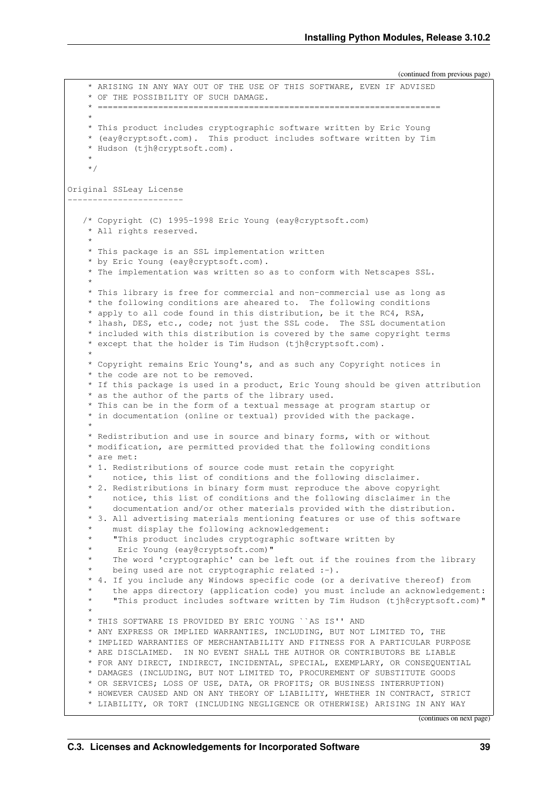```
* ARISING IN ANY WAY OUT OF THE USE OF THIS SOFTWARE, EVEN IF ADVISED
    * OF THE POSSIBILITY OF SUCH DAMAGE.
    * ====================================================================
    *
    * This product includes cryptographic software written by Eric Young
    * (eay@cryptsoft.com). This product includes software written by Tim
    * Hudson (tjh@cryptsoft.com).
    *
    */
Original SSLeay License
    -----------------------
  /* Copyright (C) 1995-1998 Eric Young (eay@cryptsoft.com)
   * All rights reserved.
    *
    * This package is an SSL implementation written
    * by Eric Young (eay@cryptsoft.com).
    * The implementation was written so as to conform with Netscapes SSL.
    *
    * This library is free for commercial and non-commercial use as long as
    * the following conditions are aheared to. The following conditions
    * apply to all code found in this distribution, be it the RC4, RSA,
    * lhash, DES, etc., code; not just the SSL code. The SSL documentation
    * included with this distribution is covered by the same copyright terms
    * except that the holder is Tim Hudson (tjh@cryptsoft.com).
    *
   * Copyright remains Eric Young's, and as such any Copyright notices in
    * the code are not to be removed.
    * If this package is used in a product, Eric Young should be given attribution
    * as the author of the parts of the library used.
    * This can be in the form of a textual message at program startup or
    * in documentation (online or textual) provided with the package.
    *
    * Redistribution and use in source and binary forms, with or without
    * modification, are permitted provided that the following conditions
    * are met:
    * 1. Redistributions of source code must retain the copyright
        notice, this list of conditions and the following disclaimer.
    * 2. Redistributions in binary form must reproduce the above copyright
        notice, this list of conditions and the following disclaimer in the
        documentation and/or other materials provided with the distribution.
    * 3. All advertising materials mentioning features or use of this software
        must display the following acknowledgement:
        "This product includes cryptographic software written by
         Eric Young (eay@cryptsoft.com)"
        The word 'cryptographic' can be left out if the rouines from the library
        being used are not cryptographic related :-).
    * 4. If you include any Windows specific code (or a derivative thereof) from
        the apps directory (application code) you must include an acknowledgement:
         * "This product includes software written by Tim Hudson (tjh@cryptsoft.com)"
    *
    * THIS SOFTWARE IS PROVIDED BY ERIC YOUNG ``AS IS'' AND
    * ANY EXPRESS OR IMPLIED WARRANTIES, INCLUDING, BUT NOT LIMITED TO, THE
    * IMPLIED WARRANTIES OF MERCHANTABILITY AND FITNESS FOR A PARTICULAR PURPOSE
    * ARE DISCLAIMED. IN NO EVENT SHALL THE AUTHOR OR CONTRIBUTORS BE LIABLE
    * FOR ANY DIRECT, INDIRECT, INCIDENTAL, SPECIAL, EXEMPLARY, OR CONSEQUENTIAL
    * DAMAGES (INCLUDING, BUT NOT LIMITED TO, PROCUREMENT OF SUBSTITUTE GOODS
    * OR SERVICES; LOSS OF USE, DATA, OR PROFITS; OR BUSINESS INTERRUPTION)
    * HOWEVER CAUSED AND ON ANY THEORY OF LIABILITY, WHETHER IN CONTRACT, STRICT
    * LIABILITY, OR TORT (INCLUDING NEGLIGENCE OR OTHERWISE) ARISING IN ANY WAY
```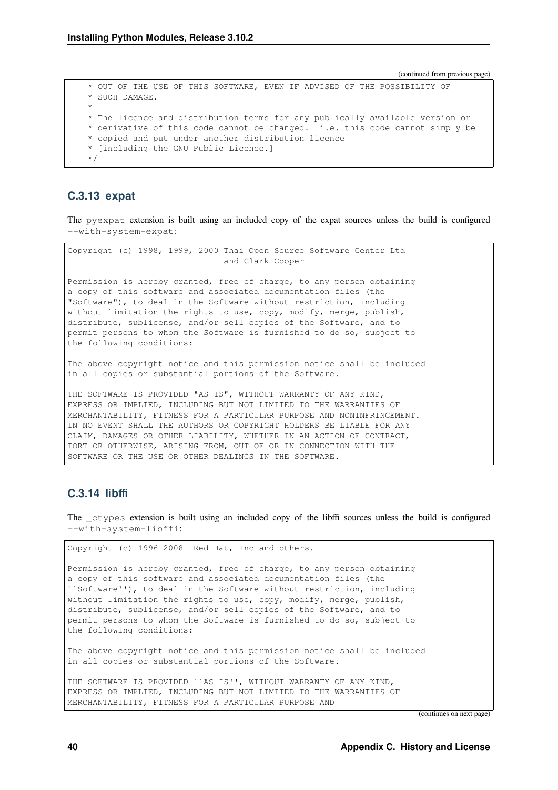```
* OUT OF THE USE OF THIS SOFTWARE, EVEN IF ADVISED OF THE POSSIBILITY OF
* SUCH DAMAGE.
*
* The licence and distribution terms for any publically available version or
* derivative of this code cannot be changed. i.e. this code cannot simply be
* copied and put under another distribution licence
* [including the GNU Public Licence.]
*/
```
#### **C.3.13 expat**

The pyexpat extension is built using an included copy of the expat sources unless the build is configured --with-system-expat:

Copyright (c) 1998, 1999, 2000 Thai Open Source Software Center Ltd and Clark Cooper Permission is hereby granted, free of charge, to any person obtaining a copy of this software and associated documentation files (the "Software"), to deal in the Software without restriction, including

without limitation the rights to use, copy, modify, merge, publish, distribute, sublicense, and/or sell copies of the Software, and to permit persons to whom the Software is furnished to do so, subject to the following conditions:

The above copyright notice and this permission notice shall be included in all copies or substantial portions of the Software.

THE SOFTWARE IS PROVIDED "AS IS", WITHOUT WARRANTY OF ANY KIND, EXPRESS OR IMPLIED, INCLUDING BUT NOT LIMITED TO THE WARRANTIES OF MERCHANTABILITY, FITNESS FOR A PARTICULAR PURPOSE AND NONINFRINGEMENT. IN NO EVENT SHALL THE AUTHORS OR COPYRIGHT HOLDERS BE LIABLE FOR ANY CLAIM, DAMAGES OR OTHER LIABILITY, WHETHER IN AN ACTION OF CONTRACT, TORT OR OTHERWISE, ARISING FROM, OUT OF OR IN CONNECTION WITH THE SOFTWARE OR THE USE OR OTHER DEALINGS IN THE SOFTWARE.

#### **C.3.14 libffi**

The \_ctypes extension is built using an included copy of the libffi sources unless the build is configured --with-system-libffi:

Copyright (c) 1996-2008 Red Hat, Inc and others.

Permission is hereby granted, free of charge, to any person obtaining a copy of this software and associated documentation files (the ``Software''), to deal in the Software without restriction, including without limitation the rights to use, copy, modify, merge, publish, distribute, sublicense, and/or sell copies of the Software, and to permit persons to whom the Software is furnished to do so, subject to the following conditions:

The above copyright notice and this permission notice shall be included in all copies or substantial portions of the Software.

THE SOFTWARE IS PROVIDED ``AS IS'', WITHOUT WARRANTY OF ANY KIND, EXPRESS OR IMPLIED, INCLUDING BUT NOT LIMITED TO THE WARRANTIES OF MERCHANTABILITY, FITNESS FOR A PARTICULAR PURPOSE AND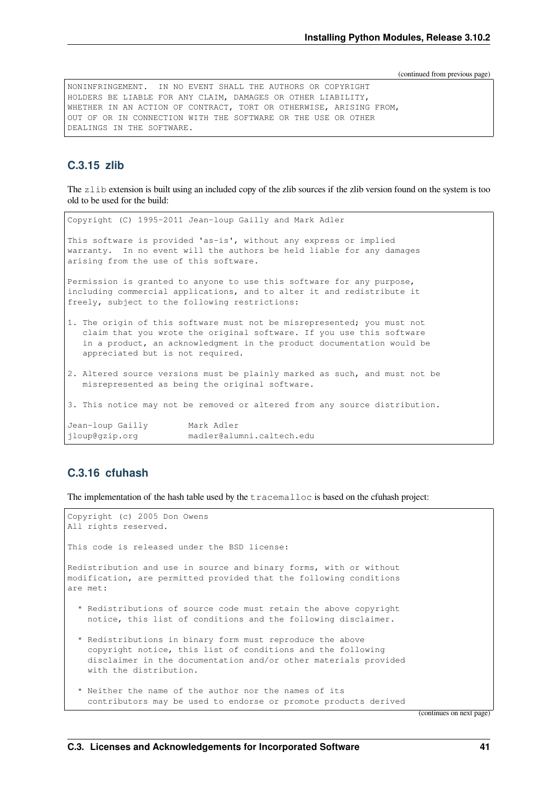```
NONINFRINGEMENT. IN NO EVENT SHALL THE AUTHORS OR COPYRIGHT
HOLDERS BE LIABLE FOR ANY CLAIM, DAMAGES OR OTHER LIABILITY,
WHETHER IN AN ACTION OF CONTRACT, TORT OR OTHERWISE, ARISING FROM,
OUT OF OR IN CONNECTION WITH THE SOFTWARE OR THE USE OR OTHER
DEALINGS IN THE SOFTWARE.
```
#### **C.3.15 zlib**

The zlib extension is built using an included copy of the zlib sources if the zlib version found on the system is too old to be used for the build:

```
Copyright (C) 1995-2011 Jean-loup Gailly and Mark Adler
This software is provided 'as-is', without any express or implied
warranty. In no event will the authors be held liable for any damages
arising from the use of this software.
Permission is granted to anyone to use this software for any purpose,
including commercial applications, and to alter it and redistribute it
freely, subject to the following restrictions:
1. The origin of this software must not be misrepresented; you must not
  claim that you wrote the original software. If you use this software
  in a product, an acknowledgment in the product documentation would be
  appreciated but is not required.
2. Altered source versions must be plainly marked as such, and must not be
  misrepresented as being the original software.
3. This notice may not be removed or altered from any source distribution.
Jean-loup Gailly Mark Adler
jloup@gzip.org madler@alumni.caltech.edu
```
#### <span id="page-44-0"></span>**C.3.16 cfuhash**

The implementation of the hash table used by the tracemalloc is based on the cfuhash project:

```
Copyright (c) 2005 Don Owens
All rights reserved.
This code is released under the BSD license:
Redistribution and use in source and binary forms, with or without
modification, are permitted provided that the following conditions
are met:
  * Redistributions of source code must retain the above copyright
   notice, this list of conditions and the following disclaimer.
  * Redistributions in binary form must reproduce the above
   copyright notice, this list of conditions and the following
    disclaimer in the documentation and/or other materials provided
   with the distribution.
  * Neither the name of the author nor the names of its
    contributors may be used to endorse or promote products derived
```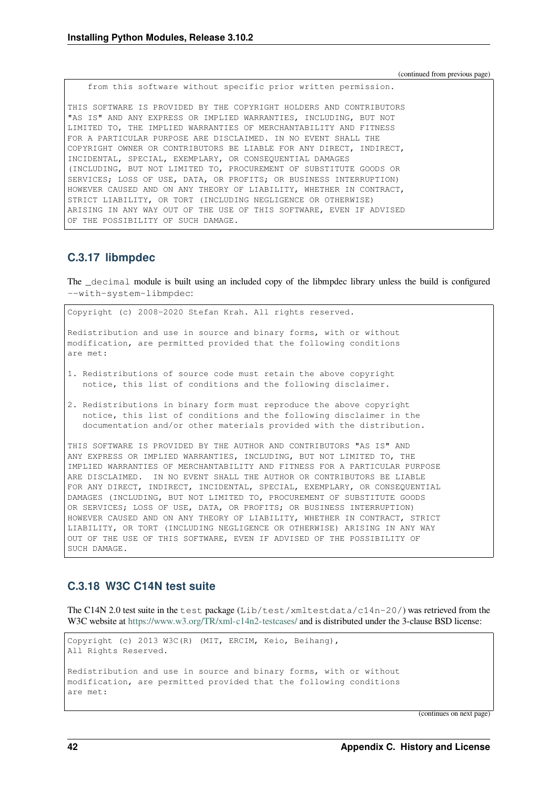from this software without specific prior written permission. THIS SOFTWARE IS PROVIDED BY THE COPYRIGHT HOLDERS AND CONTRIBUTORS "AS IS" AND ANY EXPRESS OR IMPLIED WARRANTIES, INCLUDING, BUT NOT LIMITED TO, THE IMPLIED WARRANTIES OF MERCHANTABILITY AND FITNESS FOR A PARTICULAR PURPOSE ARE DISCLAIMED. IN NO EVENT SHALL THE COPYRIGHT OWNER OR CONTRIBUTORS BE LIABLE FOR ANY DIRECT, INDIRECT, INCIDENTAL, SPECIAL, EXEMPLARY, OR CONSEQUENTIAL DAMAGES (INCLUDING, BUT NOT LIMITED TO, PROCUREMENT OF SUBSTITUTE GOODS OR SERVICES; LOSS OF USE, DATA, OR PROFITS; OR BUSINESS INTERRUPTION) HOWEVER CAUSED AND ON ANY THEORY OF LIABILITY, WHETHER IN CONTRACT, STRICT LIABILITY, OR TORT (INCLUDING NEGLIGENCE OR OTHERWISE) ARISING IN ANY WAY OUT OF THE USE OF THIS SOFTWARE, EVEN IF ADVISED OF THE POSSIBILITY OF SUCH DAMAGE.

#### **C.3.17 libmpdec**

The decimal module is built using an included copy of the libmpdec library unless the build is configured --with-system-libmpdec:

Copyright (c) 2008-2020 Stefan Krah. All rights reserved.

Redistribution and use in source and binary forms, with or without modification, are permitted provided that the following conditions are met:

- 1. Redistributions of source code must retain the above copyright notice, this list of conditions and the following disclaimer.
- 2. Redistributions in binary form must reproduce the above copyright notice, this list of conditions and the following disclaimer in the documentation and/or other materials provided with the distribution.

THIS SOFTWARE IS PROVIDED BY THE AUTHOR AND CONTRIBUTORS "AS IS" AND ANY EXPRESS OR IMPLIED WARRANTIES, INCLUDING, BUT NOT LIMITED TO, THE IMPLIED WARRANTIES OF MERCHANTABILITY AND FITNESS FOR A PARTICULAR PURPOSE ARE DISCLAIMED. IN NO EVENT SHALL THE AUTHOR OR CONTRIBUTORS BE LIABLE FOR ANY DIRECT, INDIRECT, INCIDENTAL, SPECIAL, EXEMPLARY, OR CONSEQUENTIAL DAMAGES (INCLUDING, BUT NOT LIMITED TO, PROCUREMENT OF SUBSTITUTE GOODS OR SERVICES; LOSS OF USE, DATA, OR PROFITS; OR BUSINESS INTERRUPTION) HOWEVER CAUSED AND ON ANY THEORY OF LIABILITY, WHETHER IN CONTRACT, STRICT LIABILITY, OR TORT (INCLUDING NEGLIGENCE OR OTHERWISE) ARISING IN ANY WAY OUT OF THE USE OF THIS SOFTWARE, EVEN IF ADVISED OF THE POSSIBILITY OF SUCH DAMAGE.

#### **C.3.18 W3C C14N test suite**

The C14N 2.0 test suite in the test package  $(\text{Lib}/\text{test}/\text{xmltestdata}/c14n-20/)$  was retrieved from the W3C website at https://www.w3.org/TR/xml-c14n2-testcases/ and is distributed under the 3-clause BSD license:

```
Copyright (c) 2013 W3C(R) (MIT, ERCIM, Keio, Beihang),
All Rights Reserved.
Redistribution and use in source and binary forms, with or without
modification, are permitted provided that the following conditions
are met:
```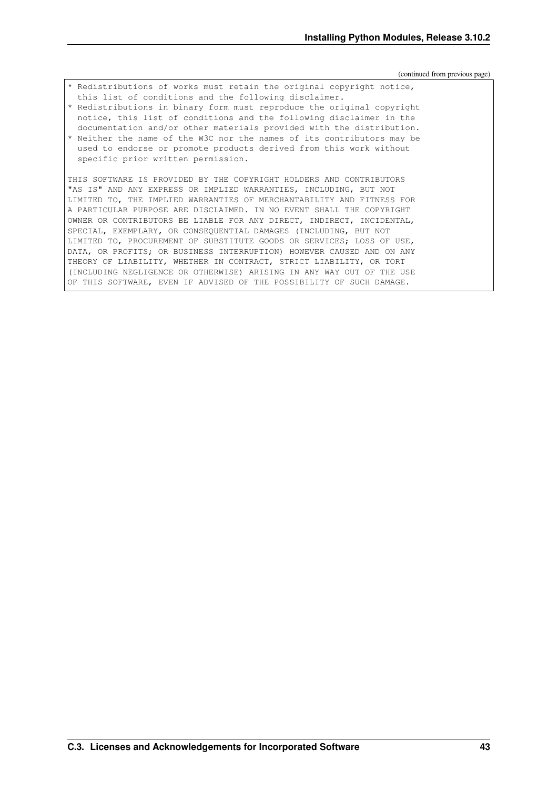\* Redistributions of works must retain the original copyright notice, this list of conditions and the following disclaimer. \* Redistributions in binary form must reproduce the original copyright notice, this list of conditions and the following disclaimer in the documentation and/or other materials provided with the distribution. \* Neither the name of the W3C nor the names of its contributors may be used to endorse or promote products derived from this work without specific prior written permission. THIS SOFTWARE IS PROVIDED BY THE COPYRIGHT HOLDERS AND CONTRIBUTORS "AS IS" AND ANY EXPRESS OR IMPLIED WARRANTIES, INCLUDING, BUT NOT LIMITED TO, THE IMPLIED WARRANTIES OF MERCHANTABILITY AND FITNESS FOR A PARTICULAR PURPOSE ARE DISCLAIMED. IN NO EVENT SHALL THE COPYRIGHT OWNER OR CONTRIBUTORS BE LIABLE FOR ANY DIRECT, INDIRECT, INCIDENTAL, SPECIAL, EXEMPLARY, OR CONSEQUENTIAL DAMAGES (INCLUDING, BUT NOT LIMITED TO, PROCUREMENT OF SUBSTITUTE GOODS OR SERVICES; LOSS OF USE, DATA, OR PROFITS; OR BUSINESS INTERRUPTION) HOWEVER CAUSED AND ON ANY THEORY OF LIABILITY, WHETHER IN CONTRACT, STRICT LIABILITY, OR TORT (INCLUDING NEGLIGENCE OR OTHERWISE) ARISING IN ANY WAY OUT OF THE USE OF THIS SOFTWARE, EVEN IF ADVISED OF THE POSSIBILITY OF SUCH DAMAGE.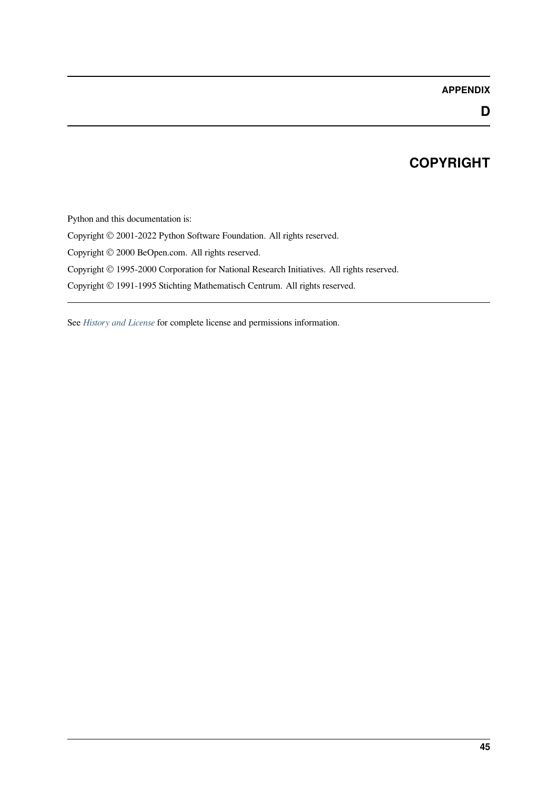# **COPYRIGHT**

Python and this documentation is:

Copyright © 2001-2022 Python Software Foundation. All rights reserved.

Copyright © 2000 BeOpen.com. All rights reserved.

Copyright © 1995-2000 Corporation for National Research Initiatives. All rights reserved.

Copyright © 1991-1995 Stichting Mathematisch Centrum. All rights reserved.

See *History and License* for complete license and permissions information.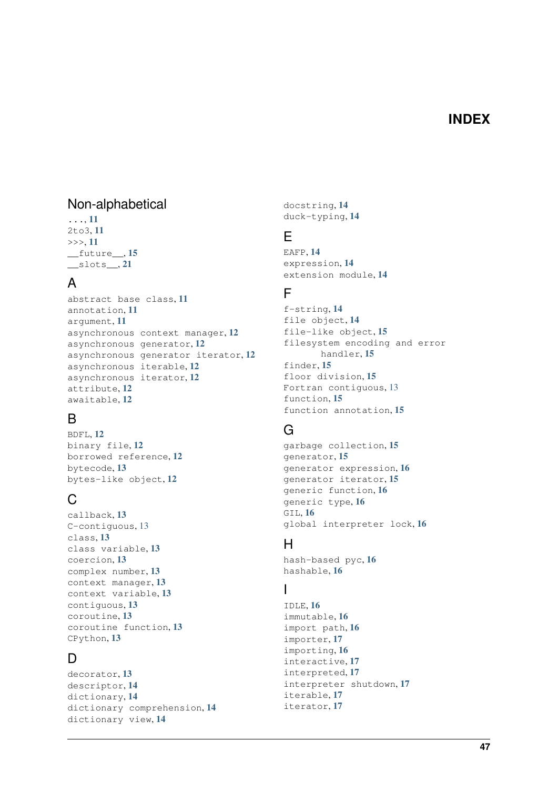### **INDEX**

### Non-alphabetical

```
..., 11
2to3, 11
>>>, 11
__future__, 15
__slots__, 21
```
### A

```
abstract base class, 11
annotation, 11
argument, 11
asynchronous context manager, 12
asynchronous generator, 12
asynchronous generator iterator, 12
asynchronous iterable, 12
asynchronous iterator, 12
attribute, 12
awaitable, 12
```
### B

BDFL, **12** binary fi[le](#page-15-7), **12** borrowed reference, **12** bytecode, **13** byte[s-l](#page-15-7)ike object, **12**

# C

```
callback, 13
C-contiguous, 13
class, 13
class variable, 13
coercion, 13
complex number, 13
context manager, 13
context variable, 13
contiguous, 13
coroutine, 13
coroutine function, 13
CPython, 13
```
## D

```
decorator, 13
descriptor, 14
dictionary, 14
dictionary comprehension, 14
dictionary view, 14
```
docstring, **14** duck-typing, **14**

### E

```
EAFP, 14
expression, 14
extension module, 14
```
### F

f-string, **14** file object, **14** file-like object, **15** filesystem encoding and error ha[nd](#page-17-4)ler, **15** finder, **15** floor divis[ion](#page-17-4), **15** Fortran contiguo[us](#page-18-7), 13 function, **15** functi[on](#page-18-7) annotation, **15**

### G

```
garbage collection, 15
generator, 15
generator expression, 16
generator iterator, 15
generic function, 16
generic type, 16
GIL, 16
global interpreter lock, 16
```
### H

has[h-b](#page-19-4)ased pyc, **16** hashable, **16**

### I

```
IDLE, 16
immutable, 16
import path, 16
importer, 17
importing, 16
interactive, 17
interpreted, 17
interpreter shutdown, 17
iterable, 17
iterator, 17
```